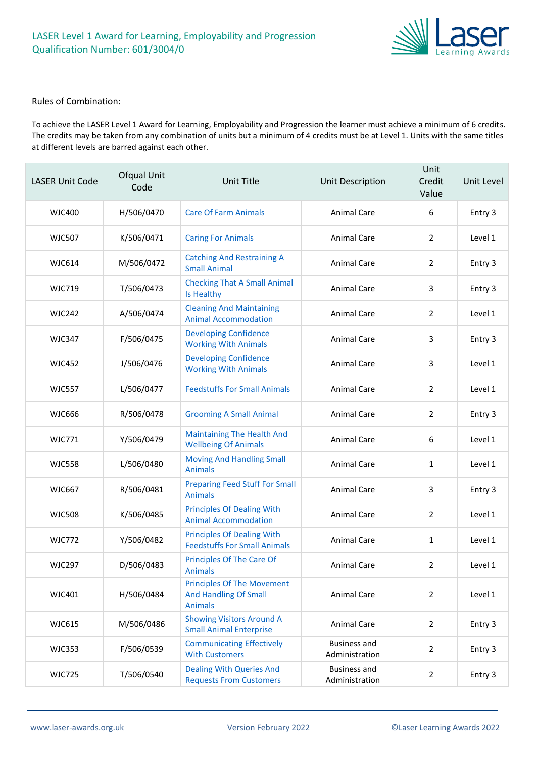

#### Rules of Combination:

To achieve the LASER Level 1 Award for Learning, Employability and Progression the learner must achieve a minimum of 6 credits. The credits may be taken from any combination of units but a minimum of 4 credits must be at Level 1. Units with the same titles at different levels are barred against each other.

| <b>LASER Unit Code</b> | Ofqual Unit<br>Code | Unit Title                                                                          | Unit Description                      | Unit<br>Credit<br>Value | Unit Level |
|------------------------|---------------------|-------------------------------------------------------------------------------------|---------------------------------------|-------------------------|------------|
| <b>WJC400</b>          | H/506/0470          | <b>Care Of Farm Animals</b>                                                         | <b>Animal Care</b>                    | 6                       | Entry 3    |
| <b>WJC507</b>          | K/506/0471          | <b>Caring For Animals</b>                                                           | Animal Care                           | $\overline{2}$          | Level 1    |
| <b>WJC614</b>          | M/506/0472          | <b>Catching And Restraining A</b><br><b>Small Animal</b>                            | Animal Care                           | $\overline{2}$          | Entry 3    |
| <b>WJC719</b>          | T/506/0473          | <b>Checking That A Small Animal</b><br>Is Healthy                                   | <b>Animal Care</b>                    | 3                       | Entry 3    |
| <b>WJC242</b>          | A/506/0474          | <b>Cleaning And Maintaining</b><br><b>Animal Accommodation</b>                      | Animal Care                           | $\overline{2}$          | Level 1    |
| <b>WJC347</b>          | F/506/0475          | <b>Developing Confidence</b><br><b>Working With Animals</b>                         | Animal Care                           | 3                       | Entry 3    |
| <b>WJC452</b>          | J/506/0476          | <b>Developing Confidence</b><br><b>Working With Animals</b>                         | Animal Care                           | 3                       | Level 1    |
| <b>WJC557</b>          | L/506/0477          | <b>Feedstuffs For Small Animals</b>                                                 | <b>Animal Care</b>                    | $\overline{2}$          | Level 1    |
| <b>WJC666</b>          | R/506/0478          | <b>Grooming A Small Animal</b>                                                      | Animal Care                           | $\overline{2}$          | Entry 3    |
| <b>WJC771</b>          | Y/506/0479          | <b>Maintaining The Health And</b><br><b>Wellbeing Of Animals</b>                    | Animal Care                           | 6                       | Level 1    |
| <b>WJC558</b>          | L/506/0480          | <b>Moving And Handling Small</b><br><b>Animals</b>                                  | Animal Care                           | 1                       | Level 1    |
| <b>WJC667</b>          | R/506/0481          | <b>Preparing Feed Stuff For Small</b><br><b>Animals</b>                             | Animal Care                           | 3                       | Entry 3    |
| <b>WJC508</b>          | K/506/0485          | <b>Principles Of Dealing With</b><br><b>Animal Accommodation</b>                    | Animal Care                           | 2                       | Level 1    |
| <b>WJC772</b>          | Y/506/0482          | <b>Principles Of Dealing With</b><br><b>Feedstuffs For Small Animals</b>            | Animal Care                           | 1                       | Level 1    |
| <b>WJC297</b>          | D/506/0483          | Principles Of The Care Of<br><b>Animals</b>                                         | Animal Care                           | $\mathbf{2}$            | Level 1    |
| WJC401                 | H/506/0484          | <b>Principles Of The Movement</b><br><b>And Handling Of Small</b><br><b>Animals</b> | <b>Animal Care</b>                    | $\overline{2}$          | Level 1    |
| <b>WJC615</b>          | M/506/0486          | <b>Showing Visitors Around A</b><br><b>Small Animal Enterprise</b>                  | <b>Animal Care</b>                    | $\overline{2}$          | Entry 3    |
| <b>WJC353</b>          | F/506/0539          | <b>Communicating Effectively</b><br><b>With Customers</b>                           | <b>Business and</b><br>Administration | $\overline{2}$          | Entry 3    |
| <b>WJC725</b>          | T/506/0540          | <b>Dealing With Queries And</b><br><b>Requests From Customers</b>                   | <b>Business and</b><br>Administration | $\overline{2}$          | Entry 3    |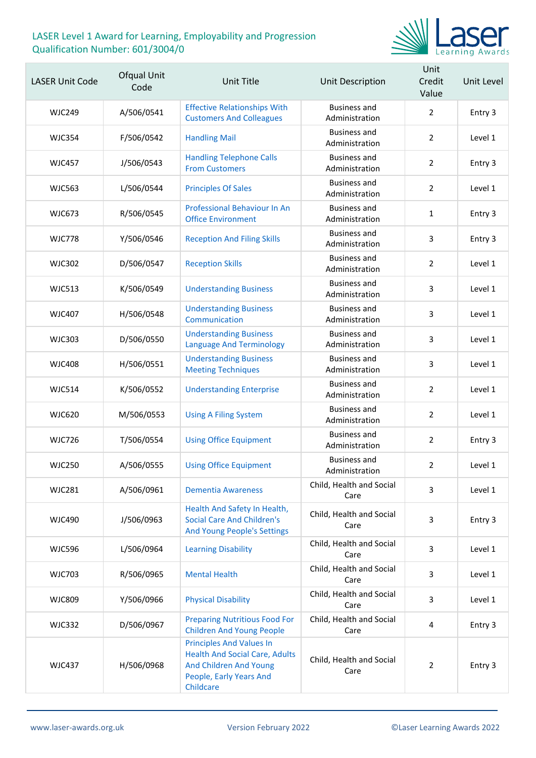

| <b>LASER Unit Code</b> | Ofqual Unit<br>Code | <b>Unit Title</b>                                                                                                                          | Unit Description                      | Unit<br>Credit<br>Value | Unit Level |
|------------------------|---------------------|--------------------------------------------------------------------------------------------------------------------------------------------|---------------------------------------|-------------------------|------------|
| <b>WJC249</b>          | A/506/0541          | <b>Effective Relationships With</b><br><b>Customers And Colleagues</b>                                                                     | <b>Business and</b><br>Administration | $\overline{2}$          | Entry 3    |
| <b>WJC354</b>          | F/506/0542          | <b>Handling Mail</b>                                                                                                                       | <b>Business and</b><br>Administration | 2                       | Level 1    |
| <b>WJC457</b>          | J/506/0543          | <b>Handling Telephone Calls</b><br><b>From Customers</b>                                                                                   | <b>Business and</b><br>Administration | 2                       | Entry 3    |
| <b>WJC563</b>          | L/506/0544          | <b>Principles Of Sales</b>                                                                                                                 | <b>Business and</b><br>Administration | $\overline{2}$          | Level 1    |
| <b>WJC673</b>          | R/506/0545          | Professional Behaviour In An<br><b>Office Environment</b>                                                                                  | <b>Business and</b><br>Administration | $\mathbf{1}$            | Entry 3    |
| <b>WJC778</b>          | Y/506/0546          | <b>Reception And Filing Skills</b>                                                                                                         | <b>Business and</b><br>Administration | 3                       | Entry 3    |
| <b>WJC302</b>          | D/506/0547          | <b>Reception Skills</b>                                                                                                                    | <b>Business and</b><br>Administration | $\overline{2}$          | Level 1    |
| <b>WJC513</b>          | K/506/0549          | <b>Understanding Business</b>                                                                                                              | <b>Business and</b><br>Administration | 3                       | Level 1    |
| <b>WJC407</b>          | H/506/0548          | <b>Understanding Business</b><br>Communication                                                                                             | <b>Business and</b><br>Administration | 3                       | Level 1    |
| <b>WJC303</b>          | D/506/0550          | <b>Understanding Business</b><br><b>Language And Terminology</b>                                                                           | <b>Business and</b><br>Administration | 3                       | Level 1    |
| <b>WJC408</b>          | H/506/0551          | <b>Understanding Business</b><br><b>Meeting Techniques</b>                                                                                 | <b>Business and</b><br>Administration | 3                       | Level 1    |
| <b>WJC514</b>          | K/506/0552          | <b>Understanding Enterprise</b>                                                                                                            | <b>Business and</b><br>Administration | $\overline{2}$          | Level 1    |
| <b>WJC620</b>          | M/506/0553          | <b>Using A Filing System</b>                                                                                                               | <b>Business and</b><br>Administration | $\overline{2}$          | Level 1    |
| <b>WJC726</b>          | T/506/0554          | <b>Using Office Equipment</b>                                                                                                              | <b>Business and</b><br>Administration | $\overline{2}$          | Entry 3    |
| <b>WJC250</b>          | A/506/0555          | <b>Using Office Equipment</b>                                                                                                              | <b>Business and</b><br>Administration | $\mathcal{P}$           | Level 1    |
| <b>WJC281</b>          | A/506/0961          | <b>Dementia Awareness</b>                                                                                                                  | Child, Health and Social<br>Care      | $\overline{3}$          | Level 1    |
| <b>WJC490</b>          | J/506/0963          | Health And Safety In Health,<br><b>Social Care And Children's</b><br><b>And Young People's Settings</b>                                    | Child, Health and Social<br>Care      | 3                       | Entry 3    |
| <b>WJC596</b>          | L/506/0964          | <b>Learning Disability</b>                                                                                                                 | Child, Health and Social<br>Care      | 3                       | Level 1    |
| <b>WJC703</b>          | R/506/0965          | <b>Mental Health</b>                                                                                                                       | Child, Health and Social<br>Care      | 3                       | Level 1    |
| <b>WJC809</b>          | Y/506/0966          | <b>Physical Disability</b>                                                                                                                 | Child, Health and Social<br>Care      | 3                       | Level 1    |
| <b>WJC332</b>          | D/506/0967          | <b>Preparing Nutritious Food For</b><br><b>Children And Young People</b>                                                                   | Child, Health and Social<br>Care      | 4                       | Entry 3    |
| <b>WJC437</b>          | H/506/0968          | <b>Principles And Values In</b><br><b>Health And Social Care, Adults</b><br>And Children And Young<br>People, Early Years And<br>Childcare | Child, Health and Social<br>Care      | $\overline{2}$          | Entry 3    |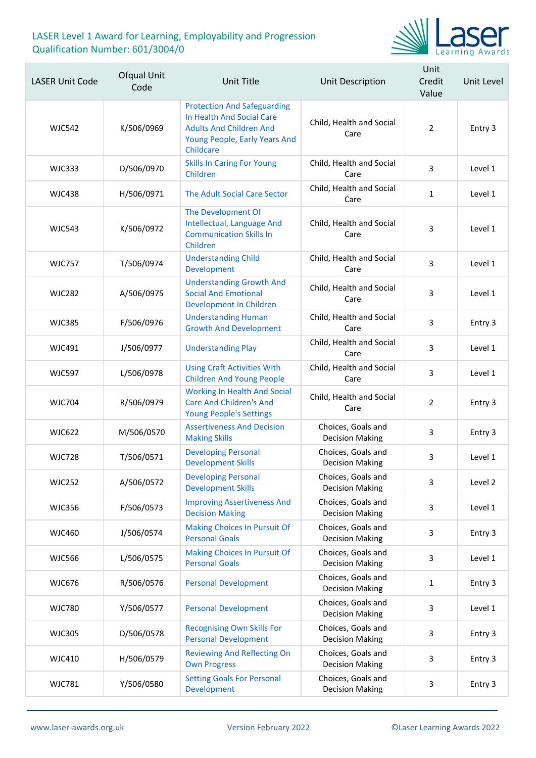

| <b>LASER Unit Code</b> | Ofqual Unit<br>Code | Unit Title                                                                                                                                      | Unit Description                             | Unit<br>Credit<br>Value | Unit Level |
|------------------------|---------------------|-------------------------------------------------------------------------------------------------------------------------------------------------|----------------------------------------------|-------------------------|------------|
| <b>WJC542</b>          | K/506/0969          | <b>Protection And Safeguarding</b><br>In Health And Social Care<br><b>Adults And Children And</b><br>Young People, Early Years And<br>Childcare | Child, Health and Social<br>Care             | $\overline{2}$          | Entry 3    |
| <b>WJC333</b>          | D/506/0970          | <b>Skills In Caring For Young</b><br>Children                                                                                                   | Child, Health and Social<br>Care             | 3                       | Level 1    |
| <b>WJC438</b>          | H/506/0971          | The Adult Social Care Sector                                                                                                                    | Child, Health and Social<br>Care             | $\mathbf{1}$            | Level 1    |
| <b>WJC543</b>          | K/506/0972          | The Development Of<br>Intellectual, Language And<br><b>Communication Skills In</b><br>Children                                                  | Child, Health and Social<br>Care             | 3                       | Level 1    |
| <b>WJC757</b>          | T/506/0974          | <b>Understanding Child</b><br>Development                                                                                                       | Child, Health and Social<br>Care             | 3                       | Level 1    |
| <b>WJC282</b>          | A/506/0975          | <b>Understanding Growth And</b><br><b>Social And Emotional</b><br>Development In Children                                                       | Child, Health and Social<br>Care             | 3                       | Level 1    |
| <b>WJC385</b>          | F/506/0976          | <b>Understanding Human</b><br><b>Growth And Development</b>                                                                                     | Child, Health and Social<br>Care             | 3                       | Entry 3    |
| <b>WJC491</b>          | J/506/0977          | <b>Understanding Play</b>                                                                                                                       | Child, Health and Social<br>Care             | 3                       | Level 1    |
| <b>WJC597</b>          | L/506/0978          | <b>Using Craft Activities With</b><br><b>Children And Young People</b>                                                                          | Child, Health and Social<br>Care             | 3                       | Level 1    |
| <b>WJC704</b>          | R/506/0979          | <b>Working In Health And Social</b><br><b>Care And Children's And</b><br><b>Young People's Settings</b>                                         | Child, Health and Social<br>Care             | $\overline{2}$          | Entry 3    |
| <b>WJC622</b>          | M/506/0570          | <b>Assertiveness And Decision</b><br><b>Making Skills</b>                                                                                       | Choices, Goals and<br><b>Decision Making</b> | 3                       | Entry 3    |
| <b>WJC728</b>          | T/506/0571          | <b>Developing Personal</b><br><b>Development Skills</b>                                                                                         | Choices, Goals and<br><b>Decision Making</b> | 3                       | Level 1    |
| <b>WJC252</b>          | A/506/0572          | <b>Developing Personal</b><br><b>Development Skills</b>                                                                                         | Choices, Goals and<br><b>Decision Making</b> | 3                       | Level 2    |
| <b>WJC356</b>          | F/506/0573          | <b>Improving Assertiveness And</b><br><b>Decision Making</b>                                                                                    | Choices, Goals and<br><b>Decision Making</b> | 3                       | Level 1    |
| <b>WJC460</b>          | J/506/0574          | <b>Making Choices In Pursuit Of</b><br><b>Personal Goals</b>                                                                                    | Choices, Goals and<br><b>Decision Making</b> | 3                       | Entry 3    |
| <b>WJC566</b>          | L/506/0575          | Making Choices In Pursuit Of<br><b>Personal Goals</b>                                                                                           | Choices, Goals and<br><b>Decision Making</b> | 3                       | Level 1    |
| <b>WJC676</b>          | R/506/0576          | <b>Personal Development</b>                                                                                                                     | Choices, Goals and<br><b>Decision Making</b> | $\mathbf{1}$            | Entry 3    |
| <b>WJC780</b>          | Y/506/0577          | <b>Personal Development</b>                                                                                                                     | Choices, Goals and<br><b>Decision Making</b> | 3                       | Level 1    |
| <b>WJC305</b>          | D/506/0578          | <b>Recognising Own Skills For</b><br><b>Personal Development</b>                                                                                | Choices, Goals and<br><b>Decision Making</b> | 3                       | Entry 3    |
| <b>WJC410</b>          | H/506/0579          | <b>Reviewing And Reflecting On</b><br><b>Own Progress</b>                                                                                       | Choices, Goals and<br><b>Decision Making</b> | 3                       | Entry 3    |
| <b>WJC781</b>          | Y/506/0580          | <b>Setting Goals For Personal</b><br>Development                                                                                                | Choices, Goals and<br><b>Decision Making</b> | 3                       | Entry 3    |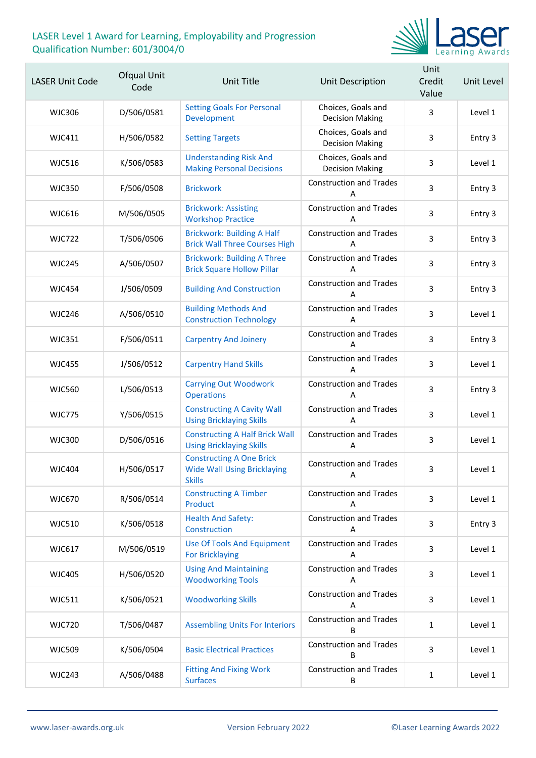

| <b>LASER Unit Code</b> | Ofqual Unit<br>Code | <b>Unit Title</b>                                                                      | Unit Description                             | Unit<br>Credit<br>Value | Unit Level |
|------------------------|---------------------|----------------------------------------------------------------------------------------|----------------------------------------------|-------------------------|------------|
| WJC306                 | D/506/0581          | <b>Setting Goals For Personal</b><br>Development                                       | Choices, Goals and<br><b>Decision Making</b> | 3                       | Level 1    |
| <b>WJC411</b>          | H/506/0582          | <b>Setting Targets</b>                                                                 | Choices, Goals and<br><b>Decision Making</b> | 3                       | Entry 3    |
| <b>WJC516</b>          | K/506/0583          | <b>Understanding Risk And</b><br><b>Making Personal Decisions</b>                      | Choices, Goals and<br><b>Decision Making</b> | 3                       | Level 1    |
| <b>WJC350</b>          | F/506/0508          | <b>Brickwork</b>                                                                       | <b>Construction and Trades</b><br>Α          | 3                       | Entry 3    |
| <b>WJC616</b>          | M/506/0505          | <b>Brickwork: Assisting</b><br><b>Workshop Practice</b>                                | <b>Construction and Trades</b><br>A          | 3                       | Entry 3    |
| <b>WJC722</b>          | T/506/0506          | <b>Brickwork: Building A Half</b><br><b>Brick Wall Three Courses High</b>              | <b>Construction and Trades</b><br>A          | 3                       | Entry 3    |
| <b>WJC245</b>          | A/506/0507          | <b>Brickwork: Building A Three</b><br><b>Brick Square Hollow Pillar</b>                | <b>Construction and Trades</b><br>A          | 3                       | Entry 3    |
| <b>WJC454</b>          | J/506/0509          | <b>Building And Construction</b>                                                       | <b>Construction and Trades</b><br>A          | 3                       | Entry 3    |
| <b>WJC246</b>          | A/506/0510          | <b>Building Methods And</b><br><b>Construction Technology</b>                          | <b>Construction and Trades</b><br>A          | 3                       | Level 1    |
| <b>WJC351</b>          | F/506/0511          | <b>Carpentry And Joinery</b>                                                           | <b>Construction and Trades</b><br>A          | 3                       | Entry 3    |
| <b>WJC455</b>          | J/506/0512          | <b>Carpentry Hand Skills</b>                                                           | <b>Construction and Trades</b><br>A          | 3                       | Level 1    |
| <b>WJC560</b>          | L/506/0513          | <b>Carrying Out Woodwork</b><br><b>Operations</b>                                      | <b>Construction and Trades</b><br>A          | 3                       | Entry 3    |
| <b>WJC775</b>          | Y/506/0515          | <b>Constructing A Cavity Wall</b><br><b>Using Bricklaying Skills</b>                   | <b>Construction and Trades</b><br>A          | 3                       | Level 1    |
| <b>WJC300</b>          | D/506/0516          | <b>Constructing A Half Brick Wall</b><br><b>Using Bricklaying Skills</b>               | <b>Construction and Trades</b><br>A          | 3                       | Level 1    |
| WJC404                 | H/506/0517          | <b>Constructing A One Brick</b><br><b>Wide Wall Using Bricklaying</b><br><b>Skills</b> | <b>Construction and Trades</b><br>Α          | 3                       | Level 1    |
| <b>WJC670</b>          | R/506/0514          | <b>Constructing A Timber</b><br>Product                                                | <b>Construction and Trades</b><br>A          | 3                       | Level 1    |
| <b>WJC510</b>          | K/506/0518          | <b>Health And Safety:</b><br>Construction                                              | <b>Construction and Trades</b><br>A          | 3                       | Entry 3    |
| <b>WJC617</b>          | M/506/0519          | <b>Use Of Tools And Equipment</b><br><b>For Bricklaying</b>                            | <b>Construction and Trades</b><br>A          | 3                       | Level 1    |
| <b>WJC405</b>          | H/506/0520          | <b>Using And Maintaining</b><br><b>Woodworking Tools</b>                               | <b>Construction and Trades</b><br>A          | 3                       | Level 1    |
| <b>WJC511</b>          | K/506/0521          | <b>Woodworking Skills</b>                                                              | <b>Construction and Trades</b><br>A          | 3                       | Level 1    |
| <b>WJC720</b>          | T/506/0487          | <b>Assembling Units For Interiors</b>                                                  | <b>Construction and Trades</b><br>В          | $\mathbf{1}$            | Level 1    |
| <b>WJC509</b>          | K/506/0504          | <b>Basic Electrical Practices</b>                                                      | <b>Construction and Trades</b><br>B          | 3                       | Level 1    |
| <b>WJC243</b>          | A/506/0488          | <b>Fitting And Fixing Work</b><br><b>Surfaces</b>                                      | <b>Construction and Trades</b><br>В          | $\mathbf{1}$            | Level 1    |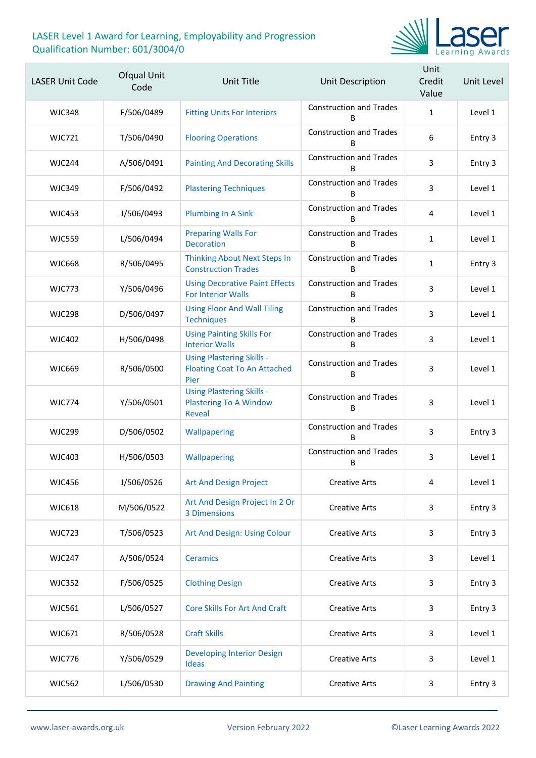

| <b>LASER Unit Code</b> | Ofqual Unit<br>Code | Unit Title                                                                      | Unit Description                    | Unit<br>Credit<br>Value | Unit Level |
|------------------------|---------------------|---------------------------------------------------------------------------------|-------------------------------------|-------------------------|------------|
| <b>WJC348</b>          | F/506/0489          | <b>Fitting Units For Interiors</b>                                              | <b>Construction and Trades</b><br>B | $\mathbf{1}$            | Level 1    |
| <b>WJC721</b>          | T/506/0490          | <b>Flooring Operations</b>                                                      | <b>Construction and Trades</b><br>R | 6                       | Entry 3    |
| <b>WJC244</b>          | A/506/0491          | <b>Painting And Decorating Skills</b>                                           | <b>Construction and Trades</b><br>R | $\overline{3}$          | Entry 3    |
| <b>WJC349</b>          | F/506/0492          | <b>Plastering Techniques</b>                                                    | <b>Construction and Trades</b><br>B | 3                       | Level 1    |
| <b>WJC453</b>          | J/506/0493          | <b>Plumbing In A Sink</b>                                                       | <b>Construction and Trades</b><br>R | 4                       | Level 1    |
| <b>WJC559</b>          | L/506/0494          | <b>Preparing Walls For</b><br><b>Decoration</b>                                 | <b>Construction and Trades</b><br>B | $\mathbf{1}$            | Level 1    |
| <b>WJC668</b>          | R/506/0495          | <b>Thinking About Next Steps In</b><br><b>Construction Trades</b>               | <b>Construction and Trades</b><br>B | $\mathbf{1}$            | Entry 3    |
| <b>WJC773</b>          | Y/506/0496          | <b>Using Decorative Paint Effects</b><br><b>For Interior Walls</b>              | <b>Construction and Trades</b><br>R | 3                       | Level 1    |
| <b>WJC298</b>          | D/506/0497          | <b>Using Floor And Wall Tiling</b><br><b>Techniques</b>                         | <b>Construction and Trades</b><br>B | 3                       | Level 1    |
| <b>WJC402</b>          | H/506/0498          | <b>Using Painting Skills For</b><br><b>Interior Walls</b>                       | <b>Construction and Trades</b><br>B | 3                       | Level 1    |
| <b>WJC669</b>          | R/506/0500          | <b>Using Plastering Skills -</b><br><b>Floating Coat To An Attached</b><br>Pier | <b>Construction and Trades</b><br>В | 3                       | Level 1    |
| <b>WJC774</b>          | Y/506/0501          | <b>Using Plastering Skills -</b><br><b>Plastering To A Window</b><br>Reveal     | <b>Construction and Trades</b><br>В | 3                       | Level 1    |
| <b>WJC299</b>          | D/506/0502          | Wallpapering                                                                    | <b>Construction and Trades</b><br>B | 3                       | Entry 3    |
| <b>WJC403</b>          | H/506/0503          | Wallpapering                                                                    | <b>Construction and Trades</b><br>В | 3                       | Level 1    |
| <b>WJC456</b>          | J/506/0526          | <b>Art And Design Project</b>                                                   | <b>Creative Arts</b>                | 4                       | Level 1    |
| <b>WJC618</b>          | M/506/0522          | Art And Design Project In 2 Or<br>3 Dimensions                                  | <b>Creative Arts</b>                | 3                       | Entry 3    |
| <b>WJC723</b>          | T/506/0523          | Art And Design: Using Colour                                                    | <b>Creative Arts</b>                | 3                       | Entry 3    |
| <b>WJC247</b>          | A/506/0524          | <b>Ceramics</b>                                                                 | <b>Creative Arts</b>                | 3                       | Level 1    |
| <b>WJC352</b>          | F/506/0525          | <b>Clothing Design</b>                                                          | <b>Creative Arts</b>                | 3                       | Entry 3    |
| <b>WJC561</b>          | L/506/0527          | <b>Core Skills For Art And Craft</b>                                            | <b>Creative Arts</b>                | 3                       | Entry 3    |
| WJC671                 | R/506/0528          | <b>Craft Skills</b>                                                             | <b>Creative Arts</b>                | 3                       | Level 1    |
| <b>WJC776</b>          | Y/506/0529          | <b>Developing Interior Design</b><br><b>Ideas</b>                               | <b>Creative Arts</b>                | 3                       | Level 1    |
| <b>WJC562</b>          | L/506/0530          | <b>Drawing And Painting</b>                                                     | <b>Creative Arts</b>                | 3                       | Entry 3    |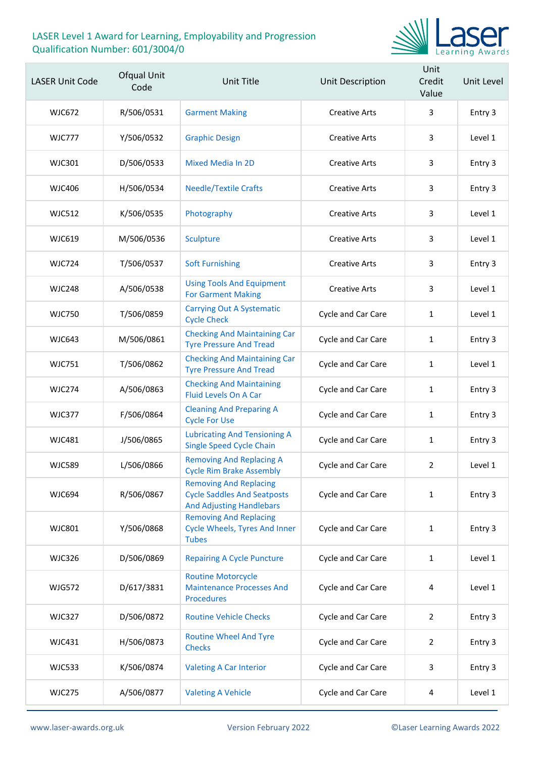

| <b>LASER Unit Code</b> | Ofqual Unit<br>Code | <b>Unit Title</b>                                                                                      | Unit Description     | Unit<br>Credit<br>Value | Unit Level |
|------------------------|---------------------|--------------------------------------------------------------------------------------------------------|----------------------|-------------------------|------------|
| WJC672                 | R/506/0531          | <b>Garment Making</b>                                                                                  | <b>Creative Arts</b> | 3                       | Entry 3    |
| <b>WJC777</b>          | Y/506/0532          | <b>Graphic Design</b>                                                                                  | <b>Creative Arts</b> | 3                       | Level 1    |
| <b>WJC301</b>          | D/506/0533          | <b>Mixed Media In 2D</b>                                                                               | <b>Creative Arts</b> | 3                       | Entry 3    |
| <b>WJC406</b>          | H/506/0534          | <b>Needle/Textile Crafts</b>                                                                           | <b>Creative Arts</b> | 3                       | Entry 3    |
| <b>WJC512</b>          | K/506/0535          | Photography                                                                                            | <b>Creative Arts</b> | 3                       | Level 1    |
| <b>WJC619</b>          | M/506/0536          | Sculpture                                                                                              | <b>Creative Arts</b> | 3                       | Level 1    |
| <b>WJC724</b>          | T/506/0537          | <b>Soft Furnishing</b>                                                                                 | <b>Creative Arts</b> | 3                       | Entry 3    |
| <b>WJC248</b>          | A/506/0538          | <b>Using Tools And Equipment</b><br><b>For Garment Making</b>                                          | <b>Creative Arts</b> | 3                       | Level 1    |
| <b>WJC750</b>          | T/506/0859          | <b>Carrying Out A Systematic</b><br><b>Cycle Check</b>                                                 | Cycle and Car Care   | 1                       | Level 1    |
| <b>WJC643</b>          | M/506/0861          | <b>Checking And Maintaining Car</b><br><b>Tyre Pressure And Tread</b>                                  | Cycle and Car Care   | $\mathbf{1}$            | Entry 3    |
| <b>WJC751</b>          | T/506/0862          | <b>Checking And Maintaining Car</b><br><b>Tyre Pressure And Tread</b>                                  | Cycle and Car Care   | 1                       | Level 1    |
| <b>WJC274</b>          | A/506/0863          | <b>Checking And Maintaining</b><br><b>Fluid Levels On A Car</b>                                        | Cycle and Car Care   | 1                       | Entry 3    |
| <b>WJC377</b>          | F/506/0864          | <b>Cleaning And Preparing A</b><br><b>Cycle For Use</b>                                                | Cycle and Car Care   | 1                       | Entry 3    |
| <b>WJC481</b>          | J/506/0865          | <b>Lubricating And Tensioning A</b><br><b>Single Speed Cycle Chain</b>                                 | Cycle and Car Care   | 1                       | Entry 3    |
| <b>WJC589</b>          | L/506/0866          | <b>Removing And Replacing A</b><br><b>Cycle Rim Brake Assembly</b>                                     | Cycle and Car Care   | $\mathbf{2}$            | Level 1    |
| <b>WJC694</b>          | R/506/0867          | <b>Removing And Replacing</b><br><b>Cycle Saddles And Seatposts</b><br><b>And Adjusting Handlebars</b> | Cycle and Car Care   | 1                       | Entry 3    |
| <b>WJC801</b>          | Y/506/0868          | <b>Removing And Replacing</b><br><b>Cycle Wheels, Tyres And Inner</b><br><b>Tubes</b>                  | Cycle and Car Care   | 1                       | Entry 3    |
| <b>WJC326</b>          | D/506/0869          | <b>Repairing A Cycle Puncture</b>                                                                      | Cycle and Car Care   | 1                       | Level 1    |
| <b>WJG572</b>          | D/617/3831          | <b>Routine Motorcycle</b><br><b>Maintenance Processes And</b><br>Procedures                            | Cycle and Car Care   | 4                       | Level 1    |
| <b>WJC327</b>          | D/506/0872          | <b>Routine Vehicle Checks</b>                                                                          | Cycle and Car Care   | 2                       | Entry 3    |
| <b>WJC431</b>          | H/506/0873          | <b>Routine Wheel And Tyre</b><br><b>Checks</b>                                                         | Cycle and Car Care   | $\overline{2}$          | Entry 3    |
| <b>WJC533</b>          | K/506/0874          | <b>Valeting A Car Interior</b>                                                                         | Cycle and Car Care   | 3                       | Entry 3    |
| <b>WJC275</b>          | A/506/0877          | <b>Valeting A Vehicle</b>                                                                              | Cycle and Car Care   | 4                       | Level 1    |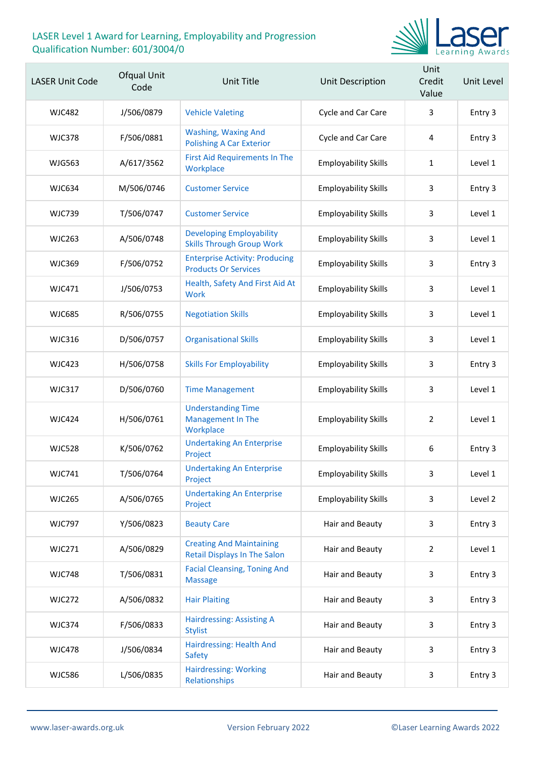

| <b>LASER Unit Code</b> | Ofqual Unit<br>Code | <b>Unit Title</b>                                                      | Unit Description            | Unit<br>Credit<br>Value | Unit Level |
|------------------------|---------------------|------------------------------------------------------------------------|-----------------------------|-------------------------|------------|
| <b>WJC482</b>          | J/506/0879          | <b>Vehicle Valeting</b>                                                | Cycle and Car Care          | 3                       | Entry 3    |
| <b>WJC378</b>          | F/506/0881          | <b>Washing, Waxing And</b><br><b>Polishing A Car Exterior</b>          | Cycle and Car Care          | 4                       | Entry 3    |
| <b>WJG563</b>          | A/617/3562          | <b>First Aid Requirements In The</b><br>Workplace                      | <b>Employability Skills</b> | 1                       | Level 1    |
| <b>WJC634</b>          | M/506/0746          | <b>Customer Service</b>                                                | <b>Employability Skills</b> | 3                       | Entry 3    |
| <b>WJC739</b>          | T/506/0747          | <b>Customer Service</b>                                                | <b>Employability Skills</b> | 3                       | Level 1    |
| <b>WJC263</b>          | A/506/0748          | <b>Developing Employability</b><br><b>Skills Through Group Work</b>    | <b>Employability Skills</b> | 3                       | Level 1    |
| <b>WJC369</b>          | F/506/0752          | <b>Enterprise Activity: Producing</b><br><b>Products Or Services</b>   | <b>Employability Skills</b> | 3                       | Entry 3    |
| <b>WJC471</b>          | J/506/0753          | Health, Safety And First Aid At<br><b>Work</b>                         | <b>Employability Skills</b> | 3                       | Level 1    |
| <b>WJC685</b>          | R/506/0755          | <b>Negotiation Skills</b>                                              | <b>Employability Skills</b> | 3                       | Level 1    |
| <b>WJC316</b>          | D/506/0757          | <b>Organisational Skills</b>                                           | <b>Employability Skills</b> | 3                       | Level 1    |
| <b>WJC423</b>          | H/506/0758          | <b>Skills For Employability</b>                                        | <b>Employability Skills</b> | 3                       | Entry 3    |
| <b>WJC317</b>          | D/506/0760          | <b>Time Management</b>                                                 | <b>Employability Skills</b> | 3                       | Level 1    |
| <b>WJC424</b>          | H/506/0761          | <b>Understanding Time</b><br>Management In The<br>Workplace            | <b>Employability Skills</b> | 2                       | Level 1    |
| <b>WJC528</b>          | K/506/0762          | <b>Undertaking An Enterprise</b><br>Project                            | <b>Employability Skills</b> | 6                       | Entry 3    |
| <b>WJC741</b>          | T/506/0764          | <b>Undertaking An Enterprise</b><br>Project                            | <b>Employability Skills</b> | 3                       | Level 1    |
| <b>WJC265</b>          | A/506/0765          | <b>Undertaking An Enterprise</b><br>Project                            | <b>Employability Skills</b> | 3                       | Level 2    |
| <b>WJC797</b>          | Y/506/0823          | <b>Beauty Care</b>                                                     | Hair and Beauty             | 3                       | Entry 3    |
| <b>WJC271</b>          | A/506/0829          | <b>Creating And Maintaining</b><br><b>Retail Displays In The Salon</b> | Hair and Beauty             | $\overline{2}$          | Level 1    |
| <b>WJC748</b>          | T/506/0831          | <b>Facial Cleansing, Toning And</b><br><b>Massage</b>                  | Hair and Beauty             | 3                       | Entry 3    |
| <b>WJC272</b>          | A/506/0832          | <b>Hair Plaiting</b>                                                   | Hair and Beauty             | 3                       | Entry 3    |
| <b>WJC374</b>          | F/506/0833          | Hairdressing: Assisting A<br><b>Stylist</b>                            | Hair and Beauty             | 3                       | Entry 3    |
| <b>WJC478</b>          | J/506/0834          | Hairdressing: Health And<br><b>Safety</b>                              | Hair and Beauty             | 3                       | Entry 3    |
| <b>WJC586</b>          | L/506/0835          | <b>Hairdressing: Working</b><br>Relationships                          | Hair and Beauty             | 3                       | Entry 3    |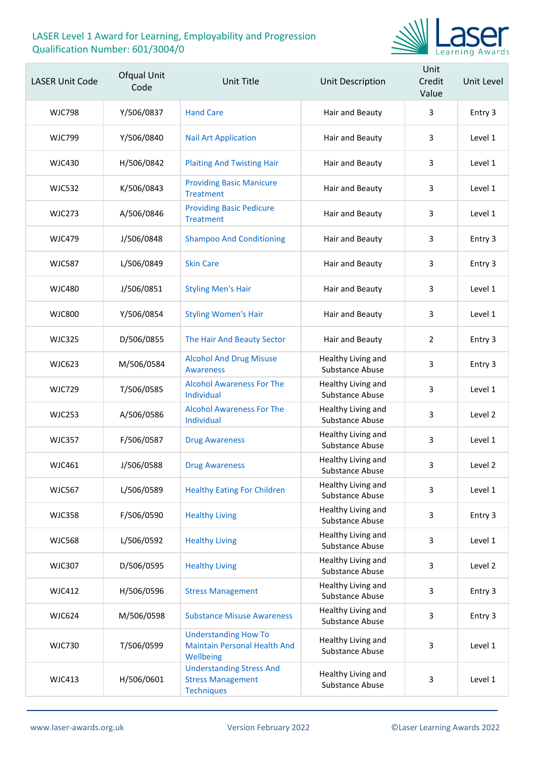

| <b>LASER Unit Code</b> | Ofqual Unit<br>Code | <b>Unit Title</b>                                                                | Unit Description                      | Unit<br>Credit<br>Value | Unit Level |
|------------------------|---------------------|----------------------------------------------------------------------------------|---------------------------------------|-------------------------|------------|
| <b>WJC798</b>          | Y/506/0837          | <b>Hand Care</b>                                                                 | Hair and Beauty                       | 3                       | Entry 3    |
| <b>WJC799</b>          | Y/506/0840          | <b>Nail Art Application</b>                                                      | Hair and Beauty                       | 3                       | Level 1    |
| <b>WJC430</b>          | H/506/0842          | <b>Plaiting And Twisting Hair</b>                                                | Hair and Beauty                       | 3                       | Level 1    |
| <b>WJC532</b>          | K/506/0843          | <b>Providing Basic Manicure</b><br><b>Treatment</b>                              | Hair and Beauty                       | 3                       | Level 1    |
| <b>WJC273</b>          | A/506/0846          | <b>Providing Basic Pedicure</b><br><b>Treatment</b>                              | Hair and Beauty                       | 3                       | Level 1    |
| <b>WJC479</b>          | J/506/0848          | <b>Shampoo And Conditioning</b>                                                  | Hair and Beauty                       | 3                       | Entry 3    |
| <b>WJC587</b>          | L/506/0849          | <b>Skin Care</b>                                                                 | Hair and Beauty                       | 3                       | Entry 3    |
| <b>WJC480</b>          | J/506/0851          | <b>Styling Men's Hair</b>                                                        | Hair and Beauty                       | 3                       | Level 1    |
| <b>WJC800</b>          | Y/506/0854          | <b>Styling Women's Hair</b>                                                      | Hair and Beauty                       | 3                       | Level 1    |
| <b>WJC325</b>          | D/506/0855          | The Hair And Beauty Sector                                                       | Hair and Beauty                       | $\overline{2}$          | Entry 3    |
| <b>WJC623</b>          | M/506/0584          | <b>Alcohol And Drug Misuse</b><br><b>Awareness</b>                               | Healthy Living and<br>Substance Abuse | 3                       | Entry 3    |
| <b>WJC729</b>          | T/506/0585          | <b>Alcohol Awareness For The</b><br><b>Individual</b>                            | Healthy Living and<br>Substance Abuse | 3                       | Level 1    |
| <b>WJC253</b>          | A/506/0586          | <b>Alcohol Awareness For The</b><br>Individual                                   | Healthy Living and<br>Substance Abuse | 3                       | Level 2    |
| <b>WJC357</b>          | F/506/0587          | <b>Drug Awareness</b>                                                            | Healthy Living and<br>Substance Abuse | 3                       | Level 1    |
| WJC461                 | J/506/0588          | <b>Drug Awareness</b>                                                            | Healthy Living and<br>Substance Abuse | 3                       | Level 2    |
| <b>WJC567</b>          | L/506/0589          | <b>Healthy Eating For Children</b>                                               | Healthy Living and<br>Substance Abuse | 3                       | Level 1    |
| <b>WJC358</b>          | F/506/0590          | <b>Healthy Living</b>                                                            | Healthy Living and<br>Substance Abuse | 3                       | Entry 3    |
| <b>WJC568</b>          | L/506/0592          | <b>Healthy Living</b>                                                            | Healthy Living and<br>Substance Abuse | 3                       | Level 1    |
| <b>WJC307</b>          | D/506/0595          | <b>Healthy Living</b>                                                            | Healthy Living and<br>Substance Abuse | 3                       | Level 2    |
| <b>WJC412</b>          | H/506/0596          | <b>Stress Management</b>                                                         | Healthy Living and<br>Substance Abuse | 3                       | Entry 3    |
| <b>WJC624</b>          | M/506/0598          | <b>Substance Misuse Awareness</b>                                                | Healthy Living and<br>Substance Abuse | 3                       | Entry 3    |
| <b>WJC730</b>          | T/506/0599          | <b>Understanding How To</b><br><b>Maintain Personal Health And</b><br>Wellbeing  | Healthy Living and<br>Substance Abuse | 3                       | Level 1    |
| <b>WJC413</b>          | H/506/0601          | <b>Understanding Stress And</b><br><b>Stress Management</b><br><b>Techniques</b> | Healthy Living and<br>Substance Abuse | 3                       | Level 1    |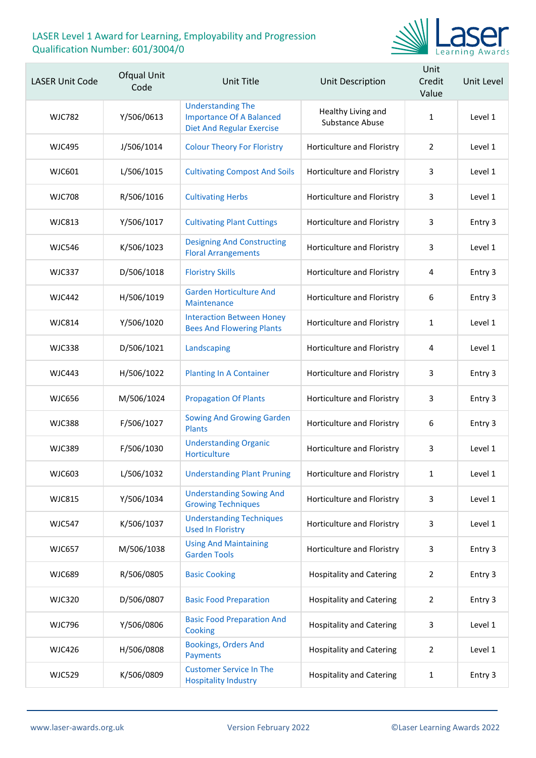

| <b>LASER Unit Code</b> | Ofqual Unit<br>Code | Unit Title                                                                                      | Unit Description                             | Unit<br>Credit<br>Value | Unit Level |
|------------------------|---------------------|-------------------------------------------------------------------------------------------------|----------------------------------------------|-------------------------|------------|
| <b>WJC782</b>          | Y/506/0613          | <b>Understanding The</b><br><b>Importance Of A Balanced</b><br><b>Diet And Regular Exercise</b> | Healthy Living and<br><b>Substance Abuse</b> | $\mathbf{1}$            | Level 1    |
| WJC495                 | J/506/1014          | <b>Colour Theory For Floristry</b>                                                              | Horticulture and Floristry                   | 2                       | Level 1    |
| <b>WJC601</b>          | L/506/1015          | <b>Cultivating Compost And Soils</b>                                                            | Horticulture and Floristry                   | 3                       | Level 1    |
| WJC708                 | R/506/1016          | <b>Cultivating Herbs</b>                                                                        | Horticulture and Floristry                   | 3                       | Level 1    |
| <b>WJC813</b>          | Y/506/1017          | <b>Cultivating Plant Cuttings</b>                                                               | Horticulture and Floristry                   | 3                       | Entry 3    |
| <b>WJC546</b>          | K/506/1023          | <b>Designing And Constructing</b><br><b>Floral Arrangements</b>                                 | Horticulture and Floristry                   | 3                       | Level 1    |
| <b>WJC337</b>          | D/506/1018          | <b>Floristry Skills</b>                                                                         | Horticulture and Floristry                   | 4                       | Entry 3    |
| <b>WJC442</b>          | H/506/1019          | <b>Garden Horticulture And</b><br>Maintenance                                                   | Horticulture and Floristry                   | 6                       | Entry 3    |
| <b>WJC814</b>          | Y/506/1020          | <b>Interaction Between Honey</b><br><b>Bees And Flowering Plants</b>                            | Horticulture and Floristry                   | $\mathbf{1}$            | Level 1    |
| <b>WJC338</b>          | D/506/1021          | Landscaping                                                                                     | Horticulture and Floristry                   | 4                       | Level 1    |
| <b>WJC443</b>          | H/506/1022          | <b>Planting In A Container</b>                                                                  | Horticulture and Floristry                   | 3                       | Entry 3    |
| <b>WJC656</b>          | M/506/1024          | <b>Propagation Of Plants</b>                                                                    | Horticulture and Floristry                   | 3                       | Entry 3    |
| <b>WJC388</b>          | F/506/1027          | <b>Sowing And Growing Garden</b><br><b>Plants</b>                                               | Horticulture and Floristry                   | 6                       | Entry 3    |
| <b>WJC389</b>          | F/506/1030          | <b>Understanding Organic</b><br>Horticulture                                                    | Horticulture and Floristry                   | 3                       | Level 1    |
| WJC603                 | L/506/1032          | <b>Understanding Plant Pruning</b>                                                              | Horticulture and Floristry                   | 1                       | Level 1    |
| <b>WJC815</b>          | Y/506/1034          | <b>Understanding Sowing And</b><br><b>Growing Techniques</b>                                    | Horticulture and Floristry                   | 3                       | Level 1    |
| <b>WJC547</b>          | K/506/1037          | <b>Understanding Techniques</b><br><b>Used In Floristry</b>                                     | Horticulture and Floristry                   | 3                       | Level 1    |
| <b>WJC657</b>          | M/506/1038          | <b>Using And Maintaining</b><br><b>Garden Tools</b>                                             | Horticulture and Floristry                   | 3                       | Entry 3    |
| <b>WJC689</b>          | R/506/0805          | <b>Basic Cooking</b>                                                                            | <b>Hospitality and Catering</b>              | 2                       | Entry 3    |
| <b>WJC320</b>          | D/506/0807          | <b>Basic Food Preparation</b>                                                                   | <b>Hospitality and Catering</b>              | 2                       | Entry 3    |
| <b>WJC796</b>          | Y/506/0806          | <b>Basic Food Preparation And</b><br>Cooking                                                    | <b>Hospitality and Catering</b>              | 3                       | Level 1    |
| <b>WJC426</b>          | H/506/0808          | <b>Bookings, Orders And</b><br>Payments                                                         | <b>Hospitality and Catering</b>              | 2                       | Level 1    |
| <b>WJC529</b>          | K/506/0809          | <b>Customer Service In The</b><br><b>Hospitality Industry</b>                                   | <b>Hospitality and Catering</b>              | 1                       | Entry 3    |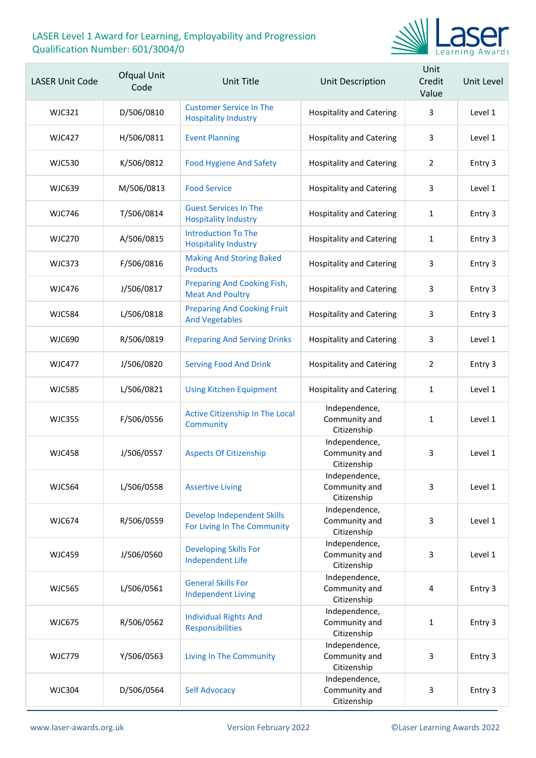

| <b>LASER Unit Code</b> | Ofqual Unit<br>Code | Unit Title                                                       | Unit Description                              | Unit<br>Credit<br>Value | Unit Level |
|------------------------|---------------------|------------------------------------------------------------------|-----------------------------------------------|-------------------------|------------|
| <b>WJC321</b>          | D/506/0810          | <b>Customer Service In The</b><br><b>Hospitality Industry</b>    | <b>Hospitality and Catering</b>               | 3                       | Level 1    |
| <b>WJC427</b>          | H/506/0811          | <b>Event Planning</b>                                            | <b>Hospitality and Catering</b>               | 3                       | Level 1    |
| <b>WJC530</b>          | K/506/0812          | <b>Food Hygiene And Safety</b>                                   | <b>Hospitality and Catering</b>               | 2                       | Entry 3    |
| <b>WJC639</b>          | M/506/0813          | <b>Food Service</b>                                              | <b>Hospitality and Catering</b>               | 3                       | Level 1    |
| <b>WJC746</b>          | T/506/0814          | <b>Guest Services In The</b><br><b>Hospitality Industry</b>      | <b>Hospitality and Catering</b>               | 1                       | Entry 3    |
| <b>WJC270</b>          | A/506/0815          | <b>Introduction To The</b><br><b>Hospitality Industry</b>        | <b>Hospitality and Catering</b>               | 1                       | Entry 3    |
| <b>WJC373</b>          | F/506/0816          | <b>Making And Storing Baked</b><br><b>Products</b>               | <b>Hospitality and Catering</b>               | 3                       | Entry 3    |
| <b>WJC476</b>          | J/506/0817          | Preparing And Cooking Fish,<br><b>Meat And Poultry</b>           | <b>Hospitality and Catering</b>               | 3                       | Entry 3    |
| <b>WJC584</b>          | L/506/0818          | <b>Preparing And Cooking Fruit</b><br><b>And Vegetables</b>      | <b>Hospitality and Catering</b>               | 3                       | Entry 3    |
| <b>WJC690</b>          | R/506/0819          | <b>Preparing And Serving Drinks</b>                              | <b>Hospitality and Catering</b>               | 3                       | Level 1    |
| <b>WJC477</b>          | J/506/0820          | <b>Serving Food And Drink</b>                                    | <b>Hospitality and Catering</b>               | 2                       | Entry 3    |
| <b>WJC585</b>          | L/506/0821          | <b>Using Kitchen Equipment</b>                                   | <b>Hospitality and Catering</b>               | 1                       | Level 1    |
| <b>WJC355</b>          | F/506/0556          | Active Citizenship In The Local<br>Community                     | Independence,<br>Community and<br>Citizenship | 1                       | Level 1    |
| <b>WJC458</b>          | J/506/0557          | <b>Aspects Of Citizenship</b>                                    | Independence,<br>Community and<br>Citizenship | 3                       | Level 1    |
| <b>WJC564</b>          | L/506/0558          | <b>Assertive Living</b>                                          | Independence,<br>Community and<br>Citizenship | 3                       | Level 1    |
| <b>WJC674</b>          | R/506/0559          | <b>Develop Independent Skills</b><br>For Living In The Community | Independence,<br>Community and<br>Citizenship | 3                       | Level 1    |
| <b>WJC459</b>          | J/506/0560          | <b>Developing Skills For</b><br><b>Independent Life</b>          | Independence,<br>Community and<br>Citizenship | 3                       | Level 1    |
| <b>WJC565</b>          | L/506/0561          | <b>General Skills For</b><br><b>Independent Living</b>           | Independence,<br>Community and<br>Citizenship | 4                       | Entry 3    |
| <b>WJC675</b>          | R/506/0562          | <b>Individual Rights And</b><br><b>Responsibilities</b>          | Independence,<br>Community and<br>Citizenship | $\mathbf{1}$            | Entry 3    |
| <b>WJC779</b>          | Y/506/0563          | <b>Living In The Community</b>                                   | Independence,<br>Community and<br>Citizenship | 3                       | Entry 3    |
| <b>WJC304</b>          | D/506/0564          | <b>Self Advocacy</b>                                             | Independence,<br>Community and<br>Citizenship | 3                       | Entry 3    |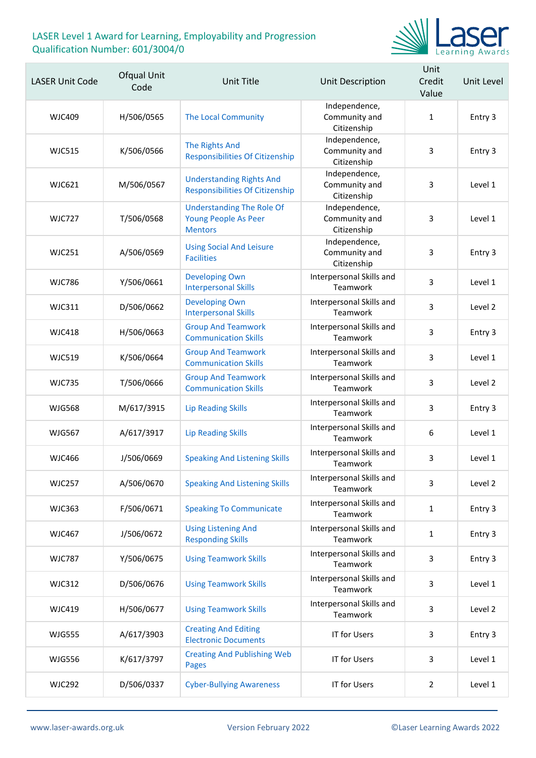

| <b>LASER Unit Code</b> | Ofqual Unit<br>Code | <b>Unit Title</b>                                                          | Unit Description                              | Unit<br>Credit<br>Value | Unit Level |
|------------------------|---------------------|----------------------------------------------------------------------------|-----------------------------------------------|-------------------------|------------|
| <b>WJC409</b>          | H/506/0565          | <b>The Local Community</b>                                                 | Independence,<br>Community and<br>Citizenship | $\mathbf{1}$            | Entry 3    |
| <b>WJC515</b>          | K/506/0566          | The Rights And<br><b>Responsibilities Of Citizenship</b>                   | Independence,<br>Community and<br>Citizenship | 3                       | Entry 3    |
| <b>WJC621</b>          | M/506/0567          | <b>Understanding Rights And</b><br><b>Responsibilities Of Citizenship</b>  | Independence,<br>Community and<br>Citizenship | 3                       | Level 1    |
| <b>WJC727</b>          | T/506/0568          | <b>Understanding The Role Of</b><br>Young People As Peer<br><b>Mentors</b> | Independence,<br>Community and<br>Citizenship | 3                       | Level 1    |
| <b>WJC251</b>          | A/506/0569          | <b>Using Social And Leisure</b><br><b>Facilities</b>                       | Independence,<br>Community and<br>Citizenship | 3                       | Entry 3    |
| <b>WJC786</b>          | Y/506/0661          | <b>Developing Own</b><br><b>Interpersonal Skills</b>                       | Interpersonal Skills and<br>Teamwork          | 3                       | Level 1    |
| <b>WJC311</b>          | D/506/0662          | <b>Developing Own</b><br><b>Interpersonal Skills</b>                       | Interpersonal Skills and<br>Teamwork          | 3                       | Level 2    |
| <b>WJC418</b>          | H/506/0663          | <b>Group And Teamwork</b><br><b>Communication Skills</b>                   | Interpersonal Skills and<br>Teamwork          | 3                       | Entry 3    |
| <b>WJC519</b>          | K/506/0664          | <b>Group And Teamwork</b><br><b>Communication Skills</b>                   | Interpersonal Skills and<br>Teamwork          | 3                       | Level 1    |
| <b>WJC735</b>          | T/506/0666          | <b>Group And Teamwork</b><br><b>Communication Skills</b>                   | Interpersonal Skills and<br>Teamwork          | 3                       | Level 2    |
| <b>WJG568</b>          | M/617/3915          | <b>Lip Reading Skills</b>                                                  | Interpersonal Skills and<br>Teamwork          | 3                       | Entry 3    |
| <b>WJG567</b>          | A/617/3917          | <b>Lip Reading Skills</b>                                                  | Interpersonal Skills and<br>Teamwork          | 6                       | Level 1    |
| <b>WJC466</b>          | J/506/0669          | <b>Speaking And Listening Skills</b>                                       | Interpersonal Skills and<br>Teamwork          | 3                       | Level 1    |
| <b>WJC257</b>          | A/506/0670          | <b>Speaking And Listening Skills</b>                                       | Interpersonal Skills and<br>Teamwork          | 3                       | Level 2    |
| <b>WJC363</b>          | F/506/0671          | <b>Speaking To Communicate</b>                                             | Interpersonal Skills and<br>Teamwork          | 1                       | Entry 3    |
| WJC467                 | J/506/0672          | <b>Using Listening And</b><br><b>Responding Skills</b>                     | Interpersonal Skills and<br>Teamwork          | $\mathbf{1}$            | Entry 3    |
| <b>WJC787</b>          | Y/506/0675          | <b>Using Teamwork Skills</b>                                               | Interpersonal Skills and<br>Teamwork          | 3                       | Entry 3    |
| <b>WJC312</b>          | D/506/0676          | <b>Using Teamwork Skills</b>                                               | Interpersonal Skills and<br>Teamwork          | 3                       | Level 1    |
| WJC419                 | H/506/0677          | <b>Using Teamwork Skills</b>                                               | Interpersonal Skills and<br>Teamwork          | 3                       | Level 2    |
| <b>WJG555</b>          | A/617/3903          | <b>Creating And Editing</b><br><b>Electronic Documents</b>                 | <b>IT for Users</b>                           | 3                       | Entry 3    |
| <b>WJG556</b>          | K/617/3797          | <b>Creating And Publishing Web</b><br><b>Pages</b>                         | <b>IT for Users</b>                           | 3                       | Level 1    |
| <b>WJC292</b>          | D/506/0337          | <b>Cyber-Bullying Awareness</b>                                            | <b>IT for Users</b>                           | $\overline{2}$          | Level 1    |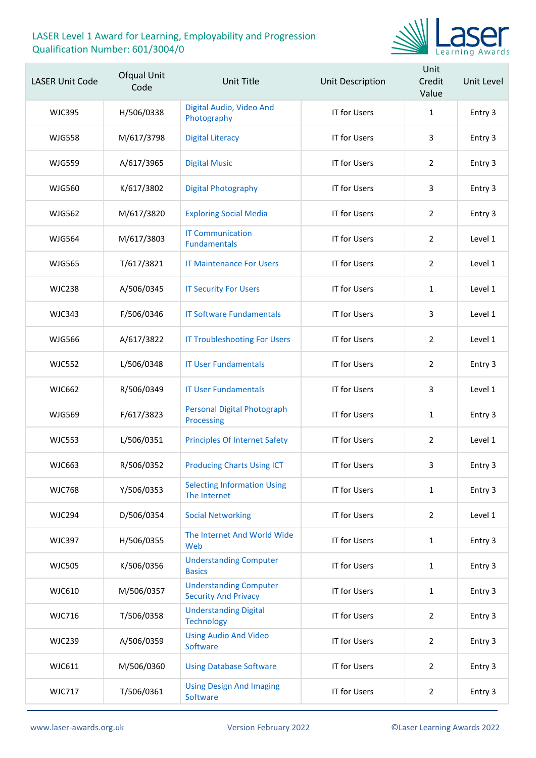

| <b>LASER Unit Code</b> | Ofqual Unit<br>Code | Unit Title                                                   | Unit Description    | Unit<br>Credit<br>Value | Unit Level |
|------------------------|---------------------|--------------------------------------------------------------|---------------------|-------------------------|------------|
| <b>WJC395</b>          | H/506/0338          | Digital Audio, Video And<br>Photography                      | <b>IT for Users</b> | $\mathbf{1}$            | Entry 3    |
| <b>WJG558</b>          | M/617/3798          | <b>Digital Literacy</b>                                      | <b>IT for Users</b> | 3                       | Entry 3    |
| <b>WJG559</b>          | A/617/3965          | <b>Digital Music</b>                                         | <b>IT for Users</b> | $\overline{2}$          | Entry 3    |
| <b>WJG560</b>          | K/617/3802          | <b>Digital Photography</b>                                   | <b>IT for Users</b> | 3                       | Entry 3    |
| <b>WJG562</b>          | M/617/3820          | <b>Exploring Social Media</b>                                | <b>IT for Users</b> | $\overline{2}$          | Entry 3    |
| <b>WJG564</b>          | M/617/3803          | <b>IT Communication</b><br><b>Fundamentals</b>               | <b>IT for Users</b> | $\overline{2}$          | Level 1    |
| <b>WJG565</b>          | T/617/3821          | <b>IT Maintenance For Users</b>                              | <b>IT for Users</b> | $\overline{2}$          | Level 1    |
| <b>WJC238</b>          | A/506/0345          | <b>IT Security For Users</b>                                 | <b>IT for Users</b> | $\mathbf{1}$            | Level 1    |
| <b>WJC343</b>          | F/506/0346          | <b>IT Software Fundamentals</b>                              | <b>IT for Users</b> | 3                       | Level 1    |
| <b>WJG566</b>          | A/617/3822          | <b>IT Troubleshooting For Users</b>                          | <b>IT for Users</b> | 2                       | Level 1    |
| <b>WJC552</b>          | L/506/0348          | <b>IT User Fundamentals</b>                                  | <b>IT for Users</b> | $\overline{2}$          | Entry 3    |
| <b>WJC662</b>          | R/506/0349          | <b>IT User Fundamentals</b>                                  | <b>IT for Users</b> | 3                       | Level 1    |
| <b>WJG569</b>          | F/617/3823          | <b>Personal Digital Photograph</b><br>Processing             | <b>IT for Users</b> | $\mathbf{1}$            | Entry 3    |
| <b>WJC553</b>          | L/506/0351          | <b>Principles Of Internet Safety</b>                         | <b>IT for Users</b> | $\overline{2}$          | Level 1    |
| <b>WJC663</b>          | R/506/0352          | <b>Producing Charts Using ICT</b>                            | <b>IT for Users</b> | 3                       | Entry 3    |
| <b>WJC768</b>          | Y/506/0353          | <b>Selecting Information Using</b><br>The Internet           | <b>IT for Users</b> | $\mathbf{1}$            | Entry 3    |
| <b>WJC294</b>          | D/506/0354          | <b>Social Networking</b>                                     | IT for Users        | $\overline{2}$          | Level 1    |
| <b>WJC397</b>          | H/506/0355          | The Internet And World Wide<br>Web                           | <b>IT for Users</b> | $\mathbf{1}$            | Entry 3    |
| <b>WJC505</b>          | K/506/0356          | <b>Understanding Computer</b><br><b>Basics</b>               | <b>IT for Users</b> | $\mathbf{1}$            | Entry 3    |
| WJC610                 | M/506/0357          | <b>Understanding Computer</b><br><b>Security And Privacy</b> | IT for Users        | $\mathbf{1}$            | Entry 3    |
| <b>WJC716</b>          | T/506/0358          | <b>Understanding Digital</b><br><b>Technology</b>            | <b>IT for Users</b> | $\overline{2}$          | Entry 3    |
| <b>WJC239</b>          | A/506/0359          | <b>Using Audio And Video</b><br>Software                     | <b>IT for Users</b> | $\overline{2}$          | Entry 3    |
| WJC611                 | M/506/0360          | <b>Using Database Software</b>                               | <b>IT for Users</b> | $\overline{2}$          | Entry 3    |
| <b>WJC717</b>          | T/506/0361          | <b>Using Design And Imaging</b><br>Software                  | <b>IT for Users</b> | $\overline{2}$          | Entry 3    |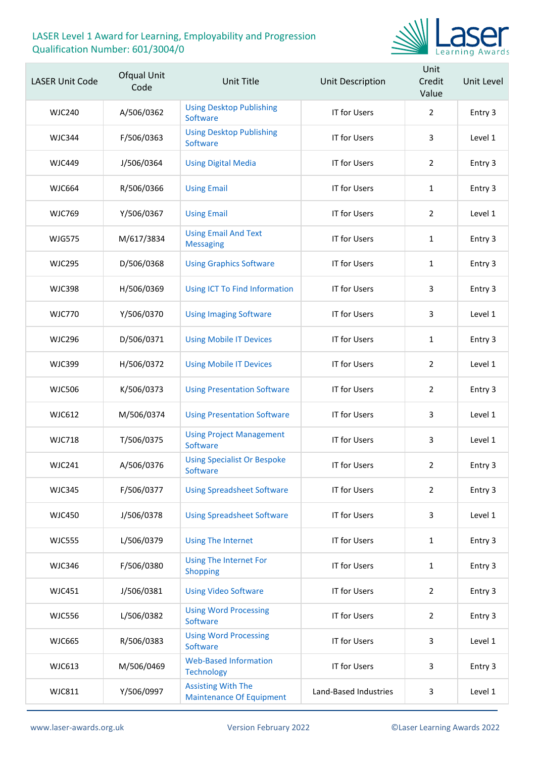

| <b>LASER Unit Code</b> | <b>Ofqual Unit</b><br>Code | Unit Title                                                   | Unit Description      | Unit<br>Credit<br>Value | Unit Level |
|------------------------|----------------------------|--------------------------------------------------------------|-----------------------|-------------------------|------------|
| <b>WJC240</b>          | A/506/0362                 | <b>Using Desktop Publishing</b><br>Software                  | <b>IT for Users</b>   | $\overline{2}$          | Entry 3    |
| <b>WJC344</b>          | F/506/0363                 | <b>Using Desktop Publishing</b><br>Software                  | <b>IT for Users</b>   | 3                       | Level 1    |
| <b>WJC449</b>          | J/506/0364                 | <b>Using Digital Media</b>                                   | <b>IT for Users</b>   | $\overline{2}$          | Entry 3    |
| <b>WJC664</b>          | R/506/0366                 | <b>Using Email</b>                                           | <b>IT for Users</b>   | $\mathbf{1}$            | Entry 3    |
| <b>WJC769</b>          | Y/506/0367                 | <b>Using Email</b>                                           | <b>IT for Users</b>   | 2                       | Level 1    |
| <b>WJG575</b>          | M/617/3834                 | <b>Using Email And Text</b><br><b>Messaging</b>              | <b>IT for Users</b>   | $\mathbf{1}$            | Entry 3    |
| <b>WJC295</b>          | D/506/0368                 | <b>Using Graphics Software</b>                               | <b>IT for Users</b>   | $\mathbf{1}$            | Entry 3    |
| <b>WJC398</b>          | H/506/0369                 | Using ICT To Find Information                                | <b>IT for Users</b>   | 3                       | Entry 3    |
| <b>WJC770</b>          | Y/506/0370                 | <b>Using Imaging Software</b>                                | <b>IT for Users</b>   | 3                       | Level 1    |
| <b>WJC296</b>          | D/506/0371                 | <b>Using Mobile IT Devices</b>                               | <b>IT for Users</b>   | $\mathbf{1}$            | Entry 3    |
| <b>WJC399</b>          | H/506/0372                 | <b>Using Mobile IT Devices</b>                               | <b>IT for Users</b>   | $\overline{2}$          | Level 1    |
| <b>WJC506</b>          | K/506/0373                 | <b>Using Presentation Software</b>                           | <b>IT for Users</b>   | $\overline{2}$          | Entry 3    |
| <b>WJC612</b>          | M/506/0374                 | <b>Using Presentation Software</b>                           | <b>IT for Users</b>   | 3                       | Level 1    |
| <b>WJC718</b>          | T/506/0375                 | <b>Using Project Management</b><br>Software                  | <b>IT for Users</b>   | 3                       | Level 1    |
| <b>WJC241</b>          | A/506/0376                 | <b>Using Specialist Or Bespoke</b><br>Software               | <b>IT for Users</b>   | 2                       | Entry 3    |
| <b>WJC345</b>          | F/506/0377                 | <b>Using Spreadsheet Software</b>                            | <b>IT for Users</b>   | $\overline{2}$          | Entry 3    |
| <b>WJC450</b>          | J/506/0378                 | <b>Using Spreadsheet Software</b>                            | <b>IT for Users</b>   | 3                       | Level 1    |
| <b>WJC555</b>          | L/506/0379                 | <b>Using The Internet</b>                                    | <b>IT for Users</b>   | $\mathbf{1}$            | Entry 3    |
| <b>WJC346</b>          | F/506/0380                 | <b>Using The Internet For</b><br><b>Shopping</b>             | <b>IT for Users</b>   | $\mathbf{1}$            | Entry 3    |
| <b>WJC451</b>          | J/506/0381                 | <b>Using Video Software</b>                                  | <b>IT for Users</b>   | $\overline{2}$          | Entry 3    |
| <b>WJC556</b>          | L/506/0382                 | <b>Using Word Processing</b><br>Software                     | <b>IT for Users</b>   | $\overline{2}$          | Entry 3    |
| <b>WJC665</b>          | R/506/0383                 | <b>Using Word Processing</b><br>Software                     | <b>IT for Users</b>   | 3                       | Level 1    |
| <b>WJC613</b>          | M/506/0469                 | <b>Web-Based Information</b><br><b>Technology</b>            | <b>IT for Users</b>   | 3                       | Entry 3    |
| <b>WJC811</b>          | Y/506/0997                 | <b>Assisting With The</b><br><b>Maintenance Of Equipment</b> | Land-Based Industries | 3                       | Level 1    |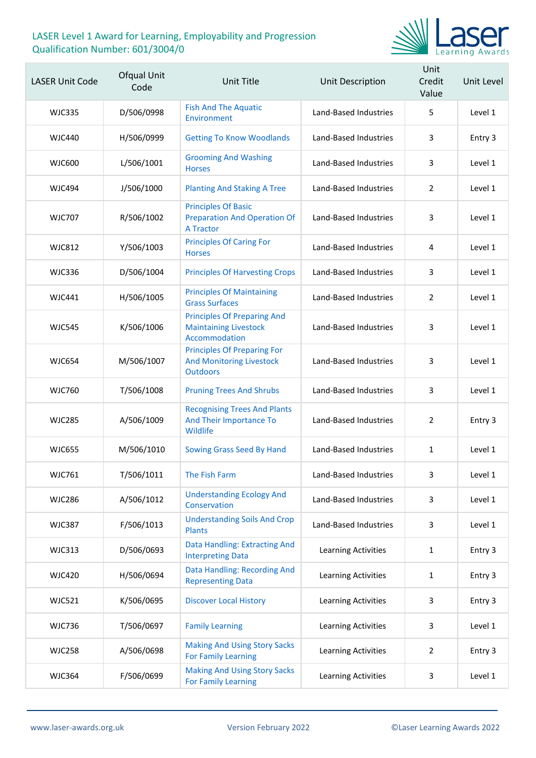

| <b>LASER Unit Code</b> | Ofqual Unit<br>Code | Unit Title                                                                               | Unit Description           | Unit<br>Credit<br>Value | Unit Level |
|------------------------|---------------------|------------------------------------------------------------------------------------------|----------------------------|-------------------------|------------|
| WJC335                 | D/506/0998          | <b>Fish And The Aquatic</b><br>Environment                                               | Land-Based Industries      | 5                       | Level 1    |
| WJC440                 | H/506/0999          | <b>Getting To Know Woodlands</b>                                                         | Land-Based Industries      | 3                       | Entry 3    |
| WJC600                 | L/506/1001          | <b>Grooming And Washing</b><br><b>Horses</b>                                             | Land-Based Industries      | 3                       | Level 1    |
| WJC494                 | J/506/1000          | <b>Planting And Staking A Tree</b>                                                       | Land-Based Industries      | $\overline{2}$          | Level 1    |
| <b>WJC707</b>          | R/506/1002          | <b>Principles Of Basic</b><br><b>Preparation And Operation Of</b><br><b>A Tractor</b>    | Land-Based Industries      | 3                       | Level 1    |
| <b>WJC812</b>          | Y/506/1003          | <b>Principles Of Caring For</b><br><b>Horses</b>                                         | Land-Based Industries      | 4                       | Level 1    |
| WJC336                 | D/506/1004          | <b>Principles Of Harvesting Crops</b>                                                    | Land-Based Industries      | 3                       | Level 1    |
| WJC441                 | H/506/1005          | <b>Principles Of Maintaining</b><br><b>Grass Surfaces</b>                                | Land-Based Industries      | $\overline{2}$          | Level 1    |
| <b>WJC545</b>          | K/506/1006          | <b>Principles Of Preparing And</b><br><b>Maintaining Livestock</b><br>Accommodation      | Land-Based Industries      | 3                       | Level 1    |
| <b>WJC654</b>          | M/506/1007          | <b>Principles Of Preparing For</b><br><b>And Monitoring Livestock</b><br><b>Outdoors</b> | Land-Based Industries      | 3                       | Level 1    |
| <b>WJC760</b>          | T/506/1008          | <b>Pruning Trees And Shrubs</b>                                                          | Land-Based Industries      | 3                       | Level 1    |
| <b>WJC285</b>          | A/506/1009          | <b>Recognising Trees And Plants</b><br>And Their Importance To<br>Wildlife               | Land-Based Industries      | $\overline{2}$          | Entry 3    |
| <b>WJC655</b>          | M/506/1010          | Sowing Grass Seed By Hand                                                                | Land-Based Industries      | $\mathbf{1}$            | Level 1    |
| <b>WJC761</b>          | T/506/1011          | The Fish Farm                                                                            | Land-Based Industries      | 3                       | Level 1    |
| <b>WJC286</b>          | A/506/1012          | <b>Understanding Ecology And</b><br>Conservation                                         | Land-Based Industries      | 3                       | Level 1    |
| <b>WJC387</b>          | F/506/1013          | <b>Understanding Soils And Crop</b><br><b>Plants</b>                                     | Land-Based Industries      | 3                       | Level 1    |
| <b>WJC313</b>          | D/506/0693          | Data Handling: Extracting And<br><b>Interpreting Data</b>                                | <b>Learning Activities</b> | $\mathbf{1}$            | Entry 3    |
| <b>WJC420</b>          | H/506/0694          | Data Handling: Recording And<br><b>Representing Data</b>                                 | Learning Activities        | $\mathbf{1}$            | Entry 3    |
| <b>WJC521</b>          | K/506/0695          | <b>Discover Local History</b>                                                            | Learning Activities        | 3                       | Entry 3    |
| <b>WJC736</b>          | T/506/0697          | <b>Family Learning</b>                                                                   | Learning Activities        | 3                       | Level 1    |
| <b>WJC258</b>          | A/506/0698          | <b>Making And Using Story Sacks</b><br><b>For Family Learning</b>                        | Learning Activities        | $\overline{2}$          | Entry 3    |
| <b>WJC364</b>          | F/506/0699          | <b>Making And Using Story Sacks</b><br><b>For Family Learning</b>                        | Learning Activities        | 3                       | Level 1    |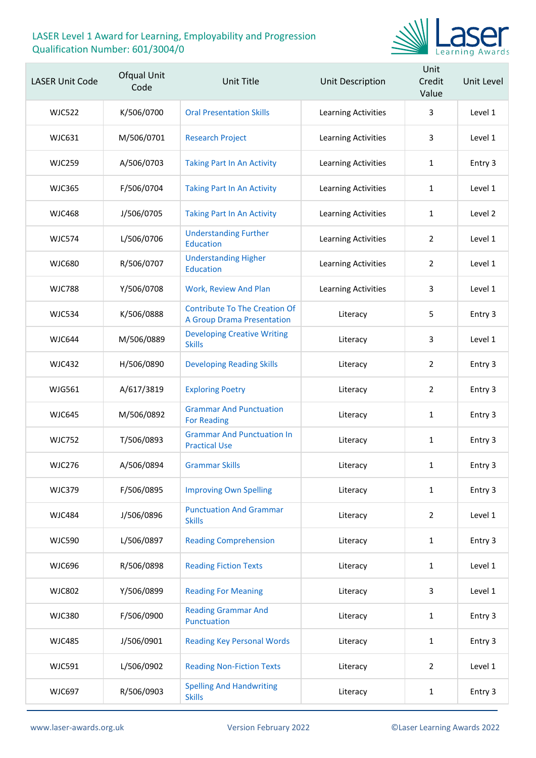

| <b>LASER Unit Code</b> | Ofqual Unit<br>Code | <b>Unit Title</b>                                                         | Unit Description    | Unit<br>Credit<br>Value | Unit Level |
|------------------------|---------------------|---------------------------------------------------------------------------|---------------------|-------------------------|------------|
| <b>WJC522</b>          | K/506/0700          | <b>Oral Presentation Skills</b>                                           | Learning Activities | 3                       | Level 1    |
| <b>WJC631</b>          | M/506/0701          | <b>Research Project</b>                                                   | Learning Activities | 3                       | Level 1    |
| <b>WJC259</b>          | A/506/0703          | <b>Taking Part In An Activity</b>                                         | Learning Activities | $\mathbf{1}$            | Entry 3    |
| <b>WJC365</b>          | F/506/0704          | <b>Taking Part In An Activity</b>                                         | Learning Activities | $\mathbf{1}$            | Level 1    |
| <b>WJC468</b>          | J/506/0705          | <b>Taking Part In An Activity</b>                                         | Learning Activities | $\mathbf{1}$            | Level 2    |
| <b>WJC574</b>          | L/506/0706          | <b>Understanding Further</b><br><b>Education</b>                          | Learning Activities | $\overline{2}$          | Level 1    |
| <b>WJC680</b>          | R/506/0707          | <b>Understanding Higher</b><br>Education                                  | Learning Activities | 2                       | Level 1    |
| <b>WJC788</b>          | Y/506/0708          | Work, Review And Plan                                                     | Learning Activities | 3                       | Level 1    |
| <b>WJC534</b>          | K/506/0888          | <b>Contribute To The Creation Of</b><br><b>A Group Drama Presentation</b> | Literacy            | 5                       | Entry 3    |
| <b>WJC644</b>          | M/506/0889          | <b>Developing Creative Writing</b><br><b>Skills</b>                       | Literacy            | 3                       | Level 1    |
| <b>WJC432</b>          | H/506/0890          | <b>Developing Reading Skills</b>                                          | Literacy            | $\overline{2}$          | Entry 3    |
| <b>WJG561</b>          | A/617/3819          | <b>Exploring Poetry</b>                                                   | Literacy            | $\overline{2}$          | Entry 3    |
| <b>WJC645</b>          | M/506/0892          | <b>Grammar And Punctuation</b><br><b>For Reading</b>                      | Literacy            | 1                       | Entry 3    |
| <b>WJC752</b>          | T/506/0893          | <b>Grammar And Punctuation In</b><br><b>Practical Use</b>                 | Literacy            | 1                       | Entry 3    |
| <b>WJC276</b>          | A/506/0894          | <b>Grammar Skills</b>                                                     | Literacy            | 1                       | Entry 3    |
| <b>WJC379</b>          | F/506/0895          | <b>Improving Own Spelling</b>                                             | Literacy            | 1                       | Entry 3    |
| <b>WJC484</b>          | J/506/0896          | <b>Punctuation And Grammar</b><br><b>Skills</b>                           | Literacy            | $\overline{2}$          | Level 1    |
| <b>WJC590</b>          | L/506/0897          | <b>Reading Comprehension</b>                                              | Literacy            | 1                       | Entry 3    |
| <b>WJC696</b>          | R/506/0898          | <b>Reading Fiction Texts</b>                                              | Literacy            | 1                       | Level 1    |
| <b>WJC802</b>          | Y/506/0899          | <b>Reading For Meaning</b>                                                | Literacy            | 3                       | Level 1    |
| <b>WJC380</b>          | F/506/0900          | <b>Reading Grammar And</b><br>Punctuation                                 | Literacy            | 1                       | Entry 3    |
| <b>WJC485</b>          | J/506/0901          | <b>Reading Key Personal Words</b>                                         | Literacy            | 1                       | Entry 3    |
| <b>WJC591</b>          | L/506/0902          | <b>Reading Non-Fiction Texts</b>                                          | Literacy            | $\overline{2}$          | Level 1    |
| <b>WJC697</b>          | R/506/0903          | <b>Spelling And Handwriting</b><br><b>Skills</b>                          | Literacy            | 1                       | Entry 3    |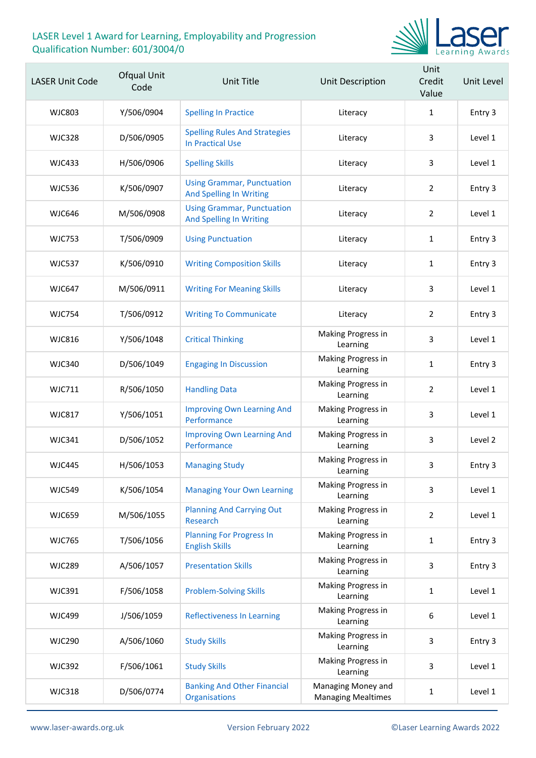

| <b>LASER Unit Code</b> | Ofqual Unit<br>Code | Unit Title                                                          | Unit Description                                | Unit<br>Credit<br>Value | Unit Level |
|------------------------|---------------------|---------------------------------------------------------------------|-------------------------------------------------|-------------------------|------------|
| <b>WJC803</b>          | Y/506/0904          | <b>Spelling In Practice</b>                                         | Literacy                                        | $\mathbf{1}$            | Entry 3    |
| <b>WJC328</b>          | D/506/0905          | <b>Spelling Rules And Strategies</b><br><b>In Practical Use</b>     | Literacy                                        | 3                       | Level 1    |
| <b>WJC433</b>          | H/506/0906          | <b>Spelling Skills</b>                                              | Literacy                                        | 3                       | Level 1    |
| <b>WJC536</b>          | K/506/0907          | <b>Using Grammar, Punctuation</b><br><b>And Spelling In Writing</b> | Literacy                                        | $\overline{2}$          | Entry 3    |
| <b>WJC646</b>          | M/506/0908          | <b>Using Grammar, Punctuation</b><br><b>And Spelling In Writing</b> | Literacy                                        | 2                       | Level 1    |
| <b>WJC753</b>          | T/506/0909          | <b>Using Punctuation</b>                                            | Literacy                                        | $\mathbf{1}$            | Entry 3    |
| <b>WJC537</b>          | K/506/0910          | <b>Writing Composition Skills</b>                                   | Literacy                                        | $\mathbf{1}$            | Entry 3    |
| <b>WJC647</b>          | M/506/0911          | <b>Writing For Meaning Skills</b>                                   | Literacy                                        | 3                       | Level 1    |
| <b>WJC754</b>          | T/506/0912          | <b>Writing To Communicate</b>                                       | Literacy                                        | $\overline{2}$          | Entry 3    |
| <b>WJC816</b>          | Y/506/1048          | <b>Critical Thinking</b>                                            | Making Progress in<br>Learning                  | 3                       | Level 1    |
| <b>WJC340</b>          | D/506/1049          | <b>Engaging In Discussion</b>                                       | Making Progress in<br>Learning                  | $\mathbf{1}$            | Entry 3    |
| <b>WJC711</b>          | R/506/1050          | <b>Handling Data</b>                                                | Making Progress in<br>Learning                  | $\overline{2}$          | Level 1    |
| <b>WJC817</b>          | Y/506/1051          | <b>Improving Own Learning And</b><br>Performance                    | Making Progress in<br>Learning                  | 3                       | Level 1    |
| <b>WJC341</b>          | D/506/1052          | <b>Improving Own Learning And</b><br>Performance                    | Making Progress in<br>Learning                  | 3                       | Level 2    |
| <b>WJC445</b>          | H/506/1053          | <b>Managing Study</b>                                               | Making Progress in<br>Learning                  | 3                       | Entry 3    |
| <b>WJC549</b>          | K/506/1054          | <b>Managing Your Own Learning</b>                                   | Making Progress in<br>Learning                  | 3                       | Level 1    |
| <b>WJC659</b>          | M/506/1055          | <b>Planning And Carrying Out</b><br>Research                        | Making Progress in<br>Learning                  | $\overline{2}$          | Level 1    |
| <b>WJC765</b>          | T/506/1056          | <b>Planning For Progress In</b><br><b>English Skills</b>            | Making Progress in<br>Learning                  | $\mathbf{1}$            | Entry 3    |
| <b>WJC289</b>          | A/506/1057          | <b>Presentation Skills</b>                                          | Making Progress in<br>Learning                  | 3                       | Entry 3    |
| WJC391                 | F/506/1058          | <b>Problem-Solving Skills</b>                                       | Making Progress in<br>Learning                  | $\mathbf{1}$            | Level 1    |
| <b>WJC499</b>          | J/506/1059          | <b>Reflectiveness In Learning</b>                                   | Making Progress in<br>Learning                  | 6                       | Level 1    |
| <b>WJC290</b>          | A/506/1060          | <b>Study Skills</b>                                                 | Making Progress in<br>Learning                  | 3                       | Entry 3    |
| <b>WJC392</b>          | F/506/1061          | <b>Study Skills</b>                                                 | Making Progress in<br>Learning                  | 3                       | Level 1    |
| <b>WJC318</b>          | D/506/0774          | <b>Banking And Other Financial</b><br>Organisations                 | Managing Money and<br><b>Managing Mealtimes</b> | $\mathbf{1}$            | Level 1    |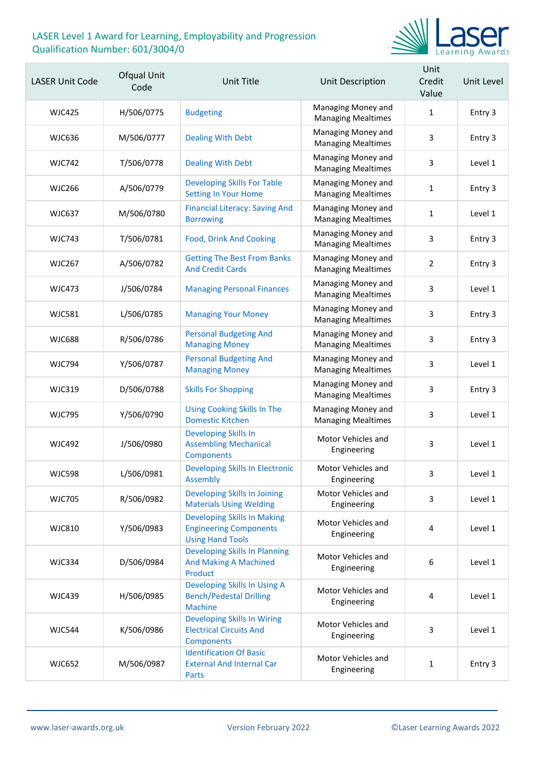

| <b>LASER Unit Code</b> | Ofqual Unit<br>Code | Unit Title                                                                                     | Unit Description                                | Unit<br>Credit<br>Value | Unit Level |
|------------------------|---------------------|------------------------------------------------------------------------------------------------|-------------------------------------------------|-------------------------|------------|
| <b>WJC425</b>          | H/506/0775          | <b>Budgeting</b>                                                                               | Managing Money and<br><b>Managing Mealtimes</b> | $\mathbf{1}$            | Entry 3    |
| <b>WJC636</b>          | M/506/0777          | <b>Dealing With Debt</b>                                                                       | Managing Money and<br><b>Managing Mealtimes</b> | 3                       | Entry 3    |
| <b>WJC742</b>          | T/506/0778          | <b>Dealing With Debt</b>                                                                       | Managing Money and<br><b>Managing Mealtimes</b> | 3                       | Level 1    |
| <b>WJC266</b>          | A/506/0779          | <b>Developing Skills For Table</b><br><b>Setting In Your Home</b>                              | Managing Money and<br><b>Managing Mealtimes</b> | 1                       | Entry 3    |
| <b>WJC637</b>          | M/506/0780          | <b>Financial Literacy: Saving And</b><br><b>Borrowing</b>                                      | Managing Money and<br><b>Managing Mealtimes</b> | 1                       | Level 1    |
| <b>WJC743</b>          | T/506/0781          | <b>Food, Drink And Cooking</b>                                                                 | Managing Money and<br><b>Managing Mealtimes</b> | 3                       | Entry 3    |
| <b>WJC267</b>          | A/506/0782          | <b>Getting The Best From Banks</b><br><b>And Credit Cards</b>                                  | Managing Money and<br><b>Managing Mealtimes</b> | 2                       | Entry 3    |
| <b>WJC473</b>          | J/506/0784          | <b>Managing Personal Finances</b>                                                              | Managing Money and<br><b>Managing Mealtimes</b> | 3                       | Level 1    |
| <b>WJC581</b>          | L/506/0785          | <b>Managing Your Money</b>                                                                     | Managing Money and<br><b>Managing Mealtimes</b> | 3                       | Entry 3    |
| <b>WJC688</b>          | R/506/0786          | <b>Personal Budgeting And</b><br><b>Managing Money</b>                                         | Managing Money and<br><b>Managing Mealtimes</b> | 3                       | Entry 3    |
| <b>WJC794</b>          | Y/506/0787          | <b>Personal Budgeting And</b><br><b>Managing Money</b>                                         | Managing Money and<br><b>Managing Mealtimes</b> | 3                       | Level 1    |
| <b>WJC319</b>          | D/506/0788          | <b>Skills For Shopping</b>                                                                     | Managing Money and<br><b>Managing Mealtimes</b> | 3                       | Entry 3    |
| <b>WJC795</b>          | Y/506/0790          | <b>Using Cooking Skills In The</b><br><b>Domestic Kitchen</b>                                  | Managing Money and<br><b>Managing Mealtimes</b> | 3                       | Level 1    |
| <b>WJC492</b>          | J/506/0980          | <b>Developing Skills In</b><br><b>Assembling Mechanical</b><br>Components                      | Motor Vehicles and<br>Engineering               | 3                       | Level 1    |
| <b>WJC598</b>          | L/506/0981          | <b>Developing Skills In Electronic</b><br>Assembly                                             | Motor Vehicles and<br>Engineering               | 3                       | Level 1    |
| <b>WJC705</b>          | R/506/0982          | Developing Skills In Joining<br><b>Materials Using Welding</b>                                 | Motor Vehicles and<br>Engineering               | 3                       | Level 1    |
| <b>WJC810</b>          | Y/506/0983          | <b>Developing Skills In Making</b><br><b>Engineering Components</b><br><b>Using Hand Tools</b> | Motor Vehicles and<br>Engineering               | 4                       | Level 1    |
| <b>WJC334</b>          | D/506/0984          | <b>Developing Skills In Planning</b><br><b>And Making A Machined</b><br>Product                | Motor Vehicles and<br>Engineering               | 6                       | Level 1    |
| <b>WJC439</b>          | H/506/0985          | Developing Skills In Using A<br><b>Bench/Pedestal Drilling</b><br><b>Machine</b>               | Motor Vehicles and<br>Engineering               | 4                       | Level 1    |
| <b>WJC544</b>          | K/506/0986          | <b>Developing Skills In Wiring</b><br><b>Electrical Circuits And</b><br>Components             | Motor Vehicles and<br>Engineering               | 3                       | Level 1    |
| <b>WJC652</b>          | M/506/0987          | <b>Identification Of Basic</b><br><b>External And Internal Car</b><br>Parts                    | Motor Vehicles and<br>Engineering               | $\mathbf{1}$            | Entry 3    |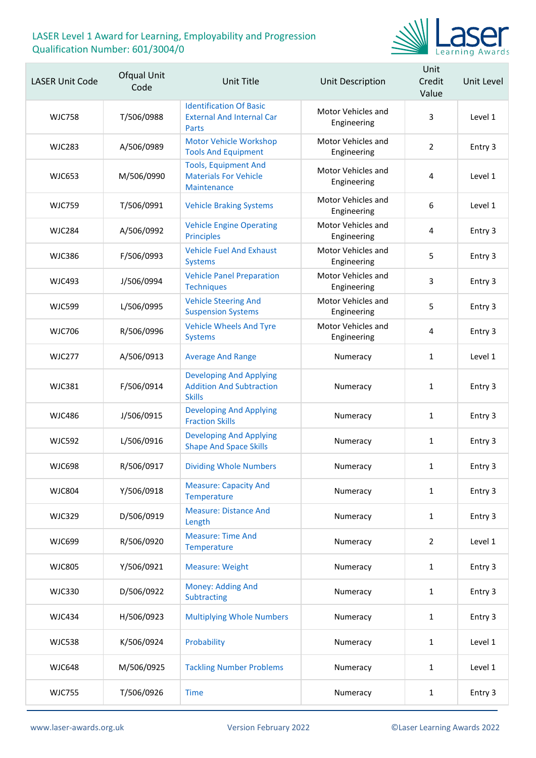

| <b>LASER Unit Code</b> | Ofqual Unit<br>Code | Unit Title                                                                         | Unit Description                  | Unit<br>Credit<br>Value | Unit Level |
|------------------------|---------------------|------------------------------------------------------------------------------------|-----------------------------------|-------------------------|------------|
| <b>WJC758</b>          | T/506/0988          | <b>Identification Of Basic</b><br><b>External And Internal Car</b><br>Parts        | Motor Vehicles and<br>Engineering | 3                       | Level 1    |
| <b>WJC283</b>          | A/506/0989          | <b>Motor Vehicle Workshop</b><br><b>Tools And Equipment</b>                        | Motor Vehicles and<br>Engineering | $\overline{2}$          | Entry 3    |
| <b>WJC653</b>          | M/506/0990          | <b>Tools, Equipment And</b><br><b>Materials For Vehicle</b><br>Maintenance         | Motor Vehicles and<br>Engineering | $\overline{4}$          | Level 1    |
| <b>WJC759</b>          | T/506/0991          | <b>Vehicle Braking Systems</b>                                                     | Motor Vehicles and<br>Engineering | 6                       | Level 1    |
| <b>WJC284</b>          | A/506/0992          | <b>Vehicle Engine Operating</b><br><b>Principles</b>                               | Motor Vehicles and<br>Engineering | $\overline{4}$          | Entry 3    |
| <b>WJC386</b>          | F/506/0993          | <b>Vehicle Fuel And Exhaust</b><br><b>Systems</b>                                  | Motor Vehicles and<br>Engineering | 5                       | Entry 3    |
| <b>WJC493</b>          | J/506/0994          | <b>Vehicle Panel Preparation</b><br><b>Techniques</b>                              | Motor Vehicles and<br>Engineering | 3                       | Entry 3    |
| <b>WJC599</b>          | L/506/0995          | <b>Vehicle Steering And</b><br><b>Suspension Systems</b>                           | Motor Vehicles and<br>Engineering | 5                       | Entry 3    |
| <b>WJC706</b>          | R/506/0996          | <b>Vehicle Wheels And Tyre</b><br><b>Systems</b>                                   | Motor Vehicles and<br>Engineering | 4                       | Entry 3    |
| <b>WJC277</b>          | A/506/0913          | <b>Average And Range</b>                                                           | Numeracy                          | 1                       | Level 1    |
| <b>WJC381</b>          | F/506/0914          | <b>Developing And Applying</b><br><b>Addition And Subtraction</b><br><b>Skills</b> | Numeracy                          | 1                       | Entry 3    |
| <b>WJC486</b>          | J/506/0915          | <b>Developing And Applying</b><br><b>Fraction Skills</b>                           | Numeracy                          | $\mathbf{1}$            | Entry 3    |
| <b>WJC592</b>          | L/506/0916          | <b>Developing And Applying</b><br><b>Shape And Space Skills</b>                    | Numeracy                          | $\mathbf{1}$            | Entry 3    |
| <b>WJC698</b>          | R/506/0917          | <b>Dividing Whole Numbers</b>                                                      | Numeracy                          | 1                       | Entry 3    |
| <b>WJC804</b>          | Y/506/0918          | <b>Measure: Capacity And</b><br>Temperature                                        | Numeracy                          | $\mathbf{1}$            | Entry 3    |
| <b>WJC329</b>          | D/506/0919          | <b>Measure: Distance And</b><br>Length                                             | Numeracy                          | $\mathbf{1}$            | Entry 3    |
| <b>WJC699</b>          | R/506/0920          | <b>Measure: Time And</b><br>Temperature                                            | Numeracy                          | $\overline{2}$          | Level 1    |
| <b>WJC805</b>          | Y/506/0921          | <b>Measure: Weight</b>                                                             | Numeracy                          | $\mathbf{1}$            | Entry 3    |
| <b>WJC330</b>          | D/506/0922          | Money: Adding And<br>Subtracting                                                   | Numeracy                          | $\mathbf{1}$            | Entry 3    |
| <b>WJC434</b>          | H/506/0923          | <b>Multiplying Whole Numbers</b>                                                   | Numeracy                          | $\mathbf{1}$            | Entry 3    |
| <b>WJC538</b>          | K/506/0924          | Probability                                                                        | Numeracy                          | $\mathbf{1}$            | Level 1    |
| <b>WJC648</b>          | M/506/0925          | <b>Tackling Number Problems</b>                                                    | Numeracy                          | $\mathbf{1}$            | Level 1    |
| <b>WJC755</b>          | T/506/0926          | <b>Time</b>                                                                        | Numeracy                          | $\mathbf{1}$            | Entry 3    |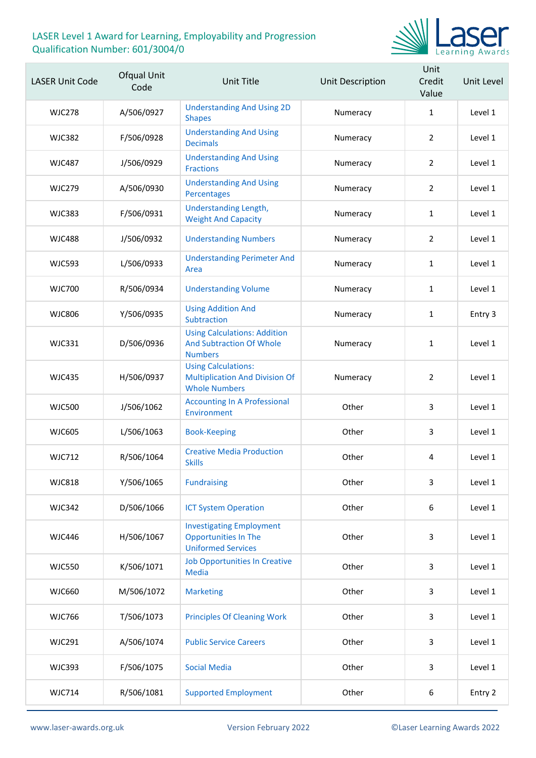

| <b>LASER Unit Code</b> | Ofqual Unit<br>Code | <b>Unit Title</b>                                                                           | Unit Description | Unit<br>Credit<br>Value | Unit Level |
|------------------------|---------------------|---------------------------------------------------------------------------------------------|------------------|-------------------------|------------|
| <b>WJC278</b>          | A/506/0927          | <b>Understanding And Using 2D</b><br><b>Shapes</b>                                          | Numeracy         | $\mathbf{1}$            | Level 1    |
| <b>WJC382</b>          | F/506/0928          | <b>Understanding And Using</b><br><b>Decimals</b>                                           | Numeracy         | $\overline{2}$          | Level 1    |
| <b>WJC487</b>          | J/506/0929          | <b>Understanding And Using</b><br><b>Fractions</b>                                          | Numeracy         | $\overline{2}$          | Level 1    |
| <b>WJC279</b>          | A/506/0930          | <b>Understanding And Using</b><br>Percentages                                               | Numeracy         | 2                       | Level 1    |
| <b>WJC383</b>          | F/506/0931          | <b>Understanding Length,</b><br><b>Weight And Capacity</b>                                  | Numeracy         | $\mathbf{1}$            | Level 1    |
| <b>WJC488</b>          | J/506/0932          | <b>Understanding Numbers</b>                                                                | Numeracy         | $\overline{2}$          | Level 1    |
| <b>WJC593</b>          | L/506/0933          | <b>Understanding Perimeter And</b><br>Area                                                  | Numeracy         | $\mathbf{1}$            | Level 1    |
| <b>WJC700</b>          | R/506/0934          | <b>Understanding Volume</b>                                                                 | Numeracy         | $\mathbf{1}$            | Level 1    |
| <b>WJC806</b>          | Y/506/0935          | <b>Using Addition And</b><br>Subtraction                                                    | Numeracy         | $\mathbf{1}$            | Entry 3    |
| <b>WJC331</b>          | D/506/0936          | <b>Using Calculations: Addition</b><br><b>And Subtraction Of Whole</b><br><b>Numbers</b>    | Numeracy         | $\mathbf{1}$            | Level 1    |
| <b>WJC435</b>          | H/506/0937          | <b>Using Calculations:</b><br><b>Multiplication And Division Of</b><br><b>Whole Numbers</b> | Numeracy         | $\overline{2}$          | Level 1    |
| <b>WJC500</b>          | J/506/1062          | <b>Accounting In A Professional</b><br>Environment                                          | Other            | 3                       | Level 1    |
| <b>WJC605</b>          | L/506/1063          | <b>Book-Keeping</b>                                                                         | Other            | 3                       | Level 1    |
| <b>WJC712</b>          | R/506/1064          | <b>Creative Media Production</b><br><b>Skills</b>                                           | Other            | 4                       | Level 1    |
| <b>WJC818</b>          | Y/506/1065          | <b>Fundraising</b>                                                                          | Other            | 3                       | Level 1    |
| <b>WJC342</b>          | D/506/1066          | <b>ICT System Operation</b>                                                                 | Other            | 6                       | Level 1    |
| <b>WJC446</b>          | H/506/1067          | <b>Investigating Employment</b><br><b>Opportunities In The</b><br><b>Uniformed Services</b> | Other            | 3                       | Level 1    |
| <b>WJC550</b>          | K/506/1071          | <b>Job Opportunities In Creative</b><br><b>Media</b>                                        | Other            | 3                       | Level 1    |
| <b>WJC660</b>          | M/506/1072          | <b>Marketing</b>                                                                            | Other            | $\overline{3}$          | Level 1    |
| <b>WJC766</b>          | T/506/1073          | <b>Principles Of Cleaning Work</b>                                                          | Other            | 3                       | Level 1    |
| <b>WJC291</b>          | A/506/1074          | <b>Public Service Careers</b>                                                               | Other            | 3                       | Level 1    |
| <b>WJC393</b>          | F/506/1075          | <b>Social Media</b>                                                                         | Other            | $\overline{3}$          | Level 1    |
| <b>WJC714</b>          | R/506/1081          | <b>Supported Employment</b>                                                                 | Other            | 6                       | Entry 2    |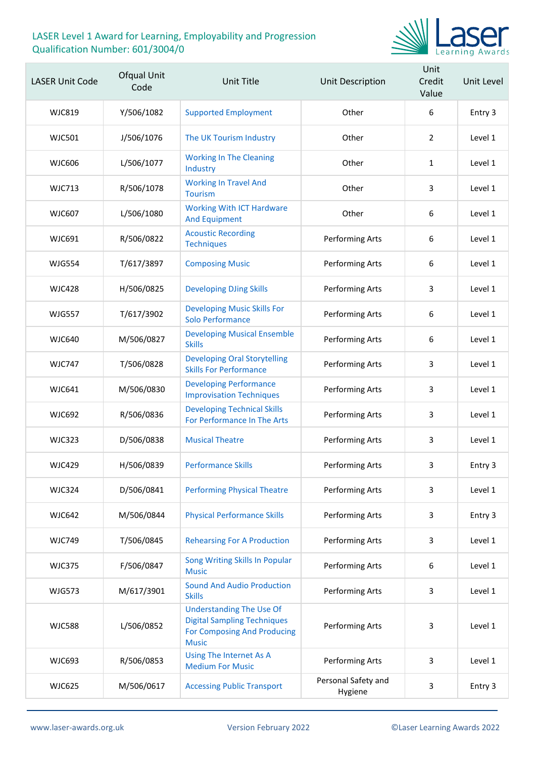

| <b>LASER Unit Code</b> | Ofqual Unit<br>Code | Unit Title                                                                                                           | Unit Description               | Unit<br>Credit<br>Value | Unit Level |
|------------------------|---------------------|----------------------------------------------------------------------------------------------------------------------|--------------------------------|-------------------------|------------|
| WJC819                 | Y/506/1082          | <b>Supported Employment</b>                                                                                          | Other                          | 6                       | Entry 3    |
| <b>WJC501</b>          | J/506/1076          | The UK Tourism Industry                                                                                              | Other                          | $\overline{2}$          | Level 1    |
| <b>WJC606</b>          | L/506/1077          | <b>Working In The Cleaning</b><br>Industry                                                                           | Other                          | $\mathbf{1}$            | Level 1    |
| <b>WJC713</b>          | R/506/1078          | <b>Working In Travel And</b><br><b>Tourism</b>                                                                       | Other                          | 3                       | Level 1    |
| <b>WJC607</b>          | L/506/1080          | <b>Working With ICT Hardware</b><br><b>And Equipment</b>                                                             | Other                          | 6                       | Level 1    |
| WJC691                 | R/506/0822          | <b>Acoustic Recording</b><br><b>Techniques</b>                                                                       | <b>Performing Arts</b>         | 6                       | Level 1    |
| <b>WJG554</b>          | T/617/3897          | <b>Composing Music</b>                                                                                               | Performing Arts                | 6                       | Level 1    |
| <b>WJC428</b>          | H/506/0825          | <b>Developing DJing Skills</b>                                                                                       | Performing Arts                | 3                       | Level 1    |
| <b>WJG557</b>          | T/617/3902          | <b>Developing Music Skills For</b><br>Solo Performance                                                               | Performing Arts                | 6                       | Level 1    |
| <b>WJC640</b>          | M/506/0827          | <b>Developing Musical Ensemble</b><br><b>Skills</b>                                                                  | Performing Arts                | 6                       | Level 1    |
| <b>WJC747</b>          | T/506/0828          | <b>Developing Oral Storytelling</b><br><b>Skills For Performance</b>                                                 | Performing Arts                | 3                       | Level 1    |
| <b>WJC641</b>          | M/506/0830          | <b>Developing Performance</b><br><b>Improvisation Techniques</b>                                                     | Performing Arts                | 3                       | Level 1    |
| <b>WJC692</b>          | R/506/0836          | <b>Developing Technical Skills</b><br>For Performance In The Arts                                                    | Performing Arts                | 3                       | Level 1    |
| <b>WJC323</b>          | D/506/0838          | <b>Musical Theatre</b>                                                                                               | Performing Arts                | 3                       | Level 1    |
| <b>WJC429</b>          | H/506/0839          | <b>Performance Skills</b>                                                                                            | Performing Arts                | 3                       | Entry 3    |
| <b>WJC324</b>          | D/506/0841          | <b>Performing Physical Theatre</b>                                                                                   | Performing Arts                | 3                       | Level 1    |
| <b>WJC642</b>          | M/506/0844          | <b>Physical Performance Skills</b>                                                                                   | Performing Arts                | 3                       | Entry 3    |
| <b>WJC749</b>          | T/506/0845          | <b>Rehearsing For A Production</b>                                                                                   | Performing Arts                | 3                       | Level 1    |
| <b>WJC375</b>          | F/506/0847          | Song Writing Skills In Popular<br><b>Music</b>                                                                       | Performing Arts                | 6                       | Level 1    |
| <b>WJG573</b>          | M/617/3901          | <b>Sound And Audio Production</b><br><b>Skills</b>                                                                   | Performing Arts                | 3                       | Level 1    |
| <b>WJC588</b>          | L/506/0852          | <b>Understanding The Use Of</b><br><b>Digital Sampling Techniques</b><br>For Composing And Producing<br><b>Music</b> | Performing Arts                | 3                       | Level 1    |
| <b>WJC693</b>          | R/506/0853          | Using The Internet As A<br><b>Medium For Music</b>                                                                   | Performing Arts                | 3                       | Level 1    |
| <b>WJC625</b>          | M/506/0617          | <b>Accessing Public Transport</b>                                                                                    | Personal Safety and<br>Hygiene | 3                       | Entry 3    |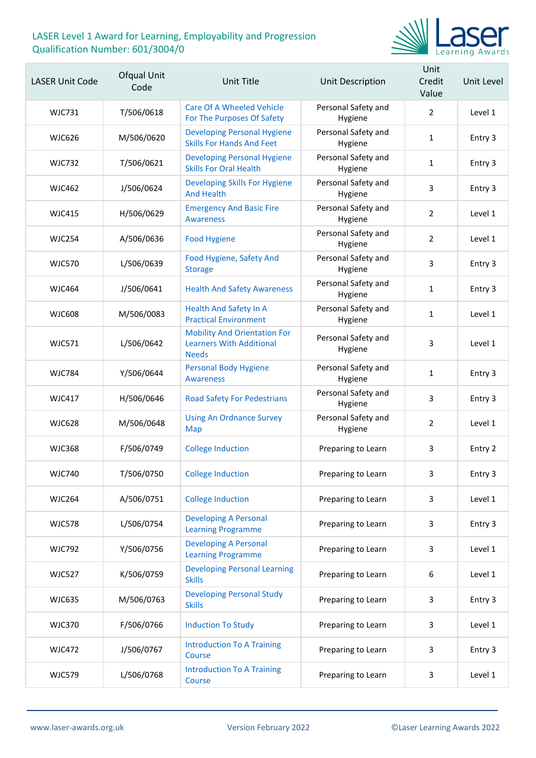

| <b>LASER Unit Code</b> | Ofqual Unit<br>Code | Unit Title                                                                             | Unit Description               | Unit<br>Credit<br>Value | Unit Level |
|------------------------|---------------------|----------------------------------------------------------------------------------------|--------------------------------|-------------------------|------------|
| WJC731                 | T/506/0618          | <b>Care Of A Wheeled Vehicle</b><br>For The Purposes Of Safety                         | Personal Safety and<br>Hygiene | $\overline{2}$          | Level 1    |
| <b>WJC626</b>          | M/506/0620          | <b>Developing Personal Hygiene</b><br><b>Skills For Hands And Feet</b>                 | Personal Safety and<br>Hygiene | $\mathbf{1}$            | Entry 3    |
| <b>WJC732</b>          | T/506/0621          | <b>Developing Personal Hygiene</b><br><b>Skills For Oral Health</b>                    | Personal Safety and<br>Hygiene | $\mathbf{1}$            | Entry 3    |
| WJC462                 | J/506/0624          | Developing Skills For Hygiene<br><b>And Health</b>                                     | Personal Safety and<br>Hygiene | 3                       | Entry 3    |
| WJC415                 | H/506/0629          | <b>Emergency And Basic Fire</b><br><b>Awareness</b>                                    | Personal Safety and<br>Hygiene | $\overline{2}$          | Level 1    |
| <b>WJC254</b>          | A/506/0636          | <b>Food Hygiene</b>                                                                    | Personal Safety and<br>Hygiene | $\overline{2}$          | Level 1    |
| <b>WJC570</b>          | L/506/0639          | Food Hygiene, Safety And<br><b>Storage</b>                                             | Personal Safety and<br>Hygiene | 3                       | Entry 3    |
| WJC464                 | J/506/0641          | <b>Health And Safety Awareness</b>                                                     | Personal Safety and<br>Hygiene | $\mathbf{1}$            | Entry 3    |
| <b>WJC608</b>          | M/506/0083          | <b>Health And Safety In A</b><br><b>Practical Environment</b>                          | Personal Safety and<br>Hygiene | $\mathbf{1}$            | Level 1    |
| <b>WJC571</b>          | L/506/0642          | <b>Mobility And Orientation For</b><br><b>Learners With Additional</b><br><b>Needs</b> | Personal Safety and<br>Hygiene | 3                       | Level 1    |
| <b>WJC784</b>          | Y/506/0644          | <b>Personal Body Hygiene</b><br><b>Awareness</b>                                       | Personal Safety and<br>Hygiene | $\mathbf{1}$            | Entry 3    |
| WJC417                 | H/506/0646          | <b>Road Safety For Pedestrians</b>                                                     | Personal Safety and<br>Hygiene | 3                       | Entry 3    |
| WJC628                 | M/506/0648          | <b>Using An Ordnance Survey</b><br>Map                                                 | Personal Safety and<br>Hygiene | $\overline{2}$          | Level 1    |
| <b>WJC368</b>          | F/506/0749          | <b>College Induction</b>                                                               | Preparing to Learn             | 3                       | Entry 2    |
| <b>WJC740</b>          | T/506/0750          | <b>College Induction</b>                                                               | Preparing to Learn             | 3                       | Entry 3    |
| <b>WJC264</b>          | A/506/0751          | <b>College Induction</b>                                                               | Preparing to Learn             | 3                       | Level 1    |
| <b>WJC578</b>          | L/506/0754          | <b>Developing A Personal</b><br><b>Learning Programme</b>                              | Preparing to Learn             | 3                       | Entry 3    |
| <b>WJC792</b>          | Y/506/0756          | <b>Developing A Personal</b><br><b>Learning Programme</b>                              | Preparing to Learn             | 3                       | Level 1    |
| <b>WJC527</b>          | K/506/0759          | <b>Developing Personal Learning</b><br><b>Skills</b>                                   | Preparing to Learn             | 6                       | Level 1    |
| <b>WJC635</b>          | M/506/0763          | <b>Developing Personal Study</b><br><b>Skills</b>                                      | Preparing to Learn             | 3                       | Entry 3    |
| <b>WJC370</b>          | F/506/0766          | <b>Induction To Study</b>                                                              | Preparing to Learn             | 3                       | Level 1    |
| <b>WJC472</b>          | J/506/0767          | <b>Introduction To A Training</b><br>Course                                            | Preparing to Learn             | 3                       | Entry 3    |
| <b>WJC579</b>          | L/506/0768          | <b>Introduction To A Training</b><br>Course                                            | Preparing to Learn             | 3                       | Level 1    |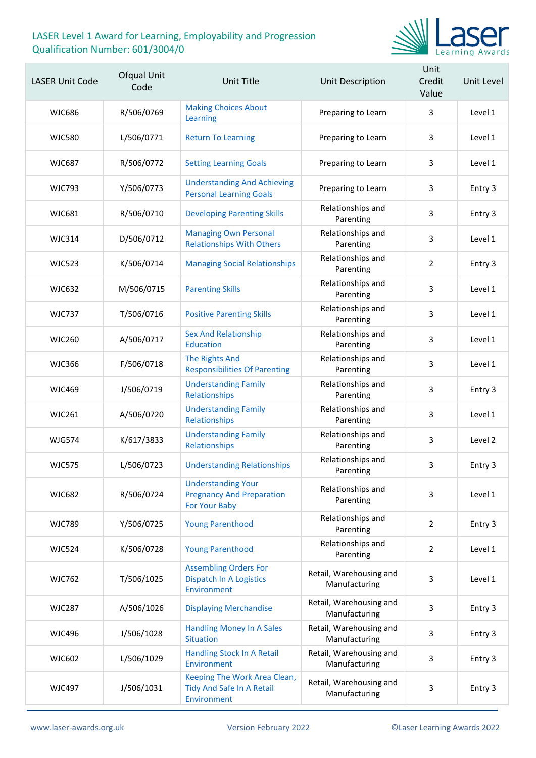

| <b>LASER Unit Code</b> | Ofqual Unit<br>Code | <b>Unit Title</b>                                                              | <b>Unit Description</b>                  | Unit<br>Credit<br>Value | Unit Level |
|------------------------|---------------------|--------------------------------------------------------------------------------|------------------------------------------|-------------------------|------------|
| <b>WJC686</b>          | R/506/0769          | <b>Making Choices About</b><br>Learning                                        | Preparing to Learn                       | 3                       | Level 1    |
| <b>WJC580</b>          | L/506/0771          | <b>Return To Learning</b>                                                      | Preparing to Learn                       | 3                       | Level 1    |
| <b>WJC687</b>          | R/506/0772          | <b>Setting Learning Goals</b>                                                  | Preparing to Learn                       | 3                       | Level 1    |
| <b>WJC793</b>          | Y/506/0773          | <b>Understanding And Achieving</b><br><b>Personal Learning Goals</b>           | Preparing to Learn                       | 3                       | Entry 3    |
| <b>WJC681</b>          | R/506/0710          | <b>Developing Parenting Skills</b>                                             | Relationships and<br>Parenting           | 3                       | Entry 3    |
| <b>WJC314</b>          | D/506/0712          | <b>Managing Own Personal</b><br><b>Relationships With Others</b>               | Relationships and<br>Parenting           | 3                       | Level 1    |
| <b>WJC523</b>          | K/506/0714          | <b>Managing Social Relationships</b>                                           | Relationships and<br>Parenting           | $\overline{2}$          | Entry 3    |
| <b>WJC632</b>          | M/506/0715          | <b>Parenting Skills</b>                                                        | Relationships and<br>Parenting           | 3                       | Level 1    |
| <b>WJC737</b>          | T/506/0716          | <b>Positive Parenting Skills</b>                                               | Relationships and<br>Parenting           | 3                       | Level 1    |
| <b>WJC260</b>          | A/506/0717          | <b>Sex And Relationship</b><br>Education                                       | Relationships and<br>Parenting           | 3                       | Level 1    |
| <b>WJC366</b>          | F/506/0718          | <b>The Rights And</b><br><b>Responsibilities Of Parenting</b>                  | Relationships and<br>Parenting           | 3                       | Level 1    |
| <b>WJC469</b>          | J/506/0719          | <b>Understanding Family</b><br>Relationships                                   | Relationships and<br>Parenting           | 3                       | Entry 3    |
| <b>WJC261</b>          | A/506/0720          | <b>Understanding Family</b><br>Relationships                                   | Relationships and<br>Parenting           | 3                       | Level 1    |
| <b>WJG574</b>          | K/617/3833          | <b>Understanding Family</b><br>Relationships                                   | Relationships and<br>Parenting           | 3                       | Level 2    |
| <b>WJC575</b>          | L/506/0723          | <b>Understanding Relationships</b>                                             | Relationships and<br>Parenting           | 3                       | Entry 3    |
| <b>WJC682</b>          | R/506/0724          | <b>Understanding Your</b><br><b>Pregnancy And Preparation</b><br>For Your Baby | Relationships and<br>Parenting           | 3                       | Level 1    |
| <b>WJC789</b>          | Y/506/0725          | <b>Young Parenthood</b>                                                        | Relationships and<br>Parenting           | $\overline{2}$          | Entry 3    |
| <b>WJC524</b>          | K/506/0728          | <b>Young Parenthood</b>                                                        | Relationships and<br>Parenting           | $\overline{2}$          | Level 1    |
| <b>WJC762</b>          | T/506/1025          | <b>Assembling Orders For</b><br><b>Dispatch In A Logistics</b><br>Environment  | Retail, Warehousing and<br>Manufacturing | 3                       | Level 1    |
| <b>WJC287</b>          | A/506/1026          | <b>Displaying Merchandise</b>                                                  | Retail, Warehousing and<br>Manufacturing | 3                       | Entry 3    |
| <b>WJC496</b>          | J/506/1028          | <b>Handling Money In A Sales</b><br><b>Situation</b>                           | Retail, Warehousing and<br>Manufacturing | 3                       | Entry 3    |
| <b>WJC602</b>          | L/506/1029          | Handling Stock In A Retail<br>Environment                                      | Retail, Warehousing and<br>Manufacturing | 3                       | Entry 3    |
| <b>WJC497</b>          | J/506/1031          | Keeping The Work Area Clean,<br>Tidy And Safe In A Retail<br>Environment       | Retail, Warehousing and<br>Manufacturing | 3                       | Entry 3    |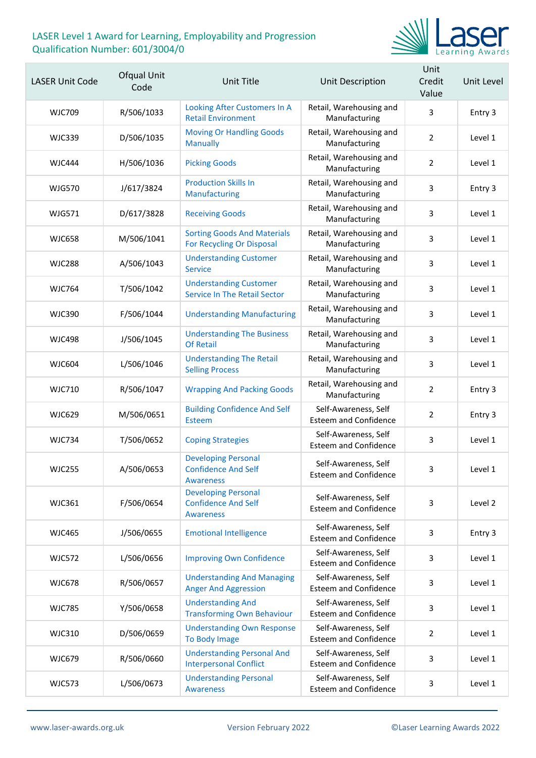

| <b>LASER Unit Code</b> | Ofqual Unit<br>Code | Unit Title                                                                   | Unit Description                                     | Unit<br>Credit<br>Value | Unit Level |
|------------------------|---------------------|------------------------------------------------------------------------------|------------------------------------------------------|-------------------------|------------|
| <b>WJC709</b>          | R/506/1033          | Looking After Customers In A<br><b>Retail Environment</b>                    | Retail, Warehousing and<br>Manufacturing             | 3                       | Entry 3    |
| <b>WJC339</b>          | D/506/1035          | <b>Moving Or Handling Goods</b><br><b>Manually</b>                           | Retail, Warehousing and<br>Manufacturing             | $\overline{2}$          | Level 1    |
| <b>WJC444</b>          | H/506/1036          | <b>Picking Goods</b>                                                         | Retail, Warehousing and<br>Manufacturing             | $\overline{2}$          | Level 1    |
| <b>WJG570</b>          | J/617/3824          | <b>Production Skills In</b><br>Manufacturing                                 | Retail, Warehousing and<br>Manufacturing             | 3                       | Entry 3    |
| <b>WJG571</b>          | D/617/3828          | <b>Receiving Goods</b>                                                       | Retail, Warehousing and<br>Manufacturing             | 3                       | Level 1    |
| <b>WJC658</b>          | M/506/1041          | <b>Sorting Goods And Materials</b><br>For Recycling Or Disposal              | Retail, Warehousing and<br>Manufacturing             | 3                       | Level 1    |
| <b>WJC288</b>          | A/506/1043          | <b>Understanding Customer</b><br><b>Service</b>                              | Retail, Warehousing and<br>Manufacturing             | 3                       | Level 1    |
| <b>WJC764</b>          | T/506/1042          | <b>Understanding Customer</b><br><b>Service In The Retail Sector</b>         | Retail, Warehousing and<br>Manufacturing             | 3                       | Level 1    |
| <b>WJC390</b>          | F/506/1044          | <b>Understanding Manufacturing</b>                                           | Retail, Warehousing and<br>Manufacturing             | 3                       | Level 1    |
| <b>WJC498</b>          | J/506/1045          | <b>Understanding The Business</b><br><b>Of Retail</b>                        | Retail, Warehousing and<br>Manufacturing             | 3                       | Level 1    |
| <b>WJC604</b>          | L/506/1046          | <b>Understanding The Retail</b><br><b>Selling Process</b>                    | Retail, Warehousing and<br>Manufacturing             | 3                       | Level 1    |
| <b>WJC710</b>          | R/506/1047          | <b>Wrapping And Packing Goods</b>                                            | Retail, Warehousing and<br>Manufacturing             | $\overline{2}$          | Entry 3    |
| <b>WJC629</b>          | M/506/0651          | <b>Building Confidence And Self</b><br>Esteem                                | Self-Awareness, Self<br><b>Esteem and Confidence</b> | 2                       | Entry 3    |
| <b>WJC734</b>          | T/506/0652          | <b>Coping Strategies</b>                                                     | Self-Awareness, Self<br><b>Esteem and Confidence</b> | 3                       | Level 1    |
| WJC255                 | A/506/0653          | <b>Developing Personal</b><br><b>Confidence And Self</b><br><b>Awareness</b> | Self-Awareness, Self<br><b>Esteem and Confidence</b> | 3                       | Level 1    |
| <b>WJC361</b>          | F/506/0654          | <b>Developing Personal</b><br><b>Confidence And Self</b><br><b>Awareness</b> | Self-Awareness, Self<br><b>Esteem and Confidence</b> | 3                       | Level 2    |
| <b>WJC465</b>          | J/506/0655          | <b>Emotional Intelligence</b>                                                | Self-Awareness, Self<br><b>Esteem and Confidence</b> | 3                       | Entry 3    |
| <b>WJC572</b>          | L/506/0656          | <b>Improving Own Confidence</b>                                              | Self-Awareness, Self<br><b>Esteem and Confidence</b> | 3                       | Level 1    |
| <b>WJC678</b>          | R/506/0657          | <b>Understanding And Managing</b><br><b>Anger And Aggression</b>             | Self-Awareness, Self<br><b>Esteem and Confidence</b> | 3                       | Level 1    |
| <b>WJC785</b>          | Y/506/0658          | <b>Understanding And</b><br><b>Transforming Own Behaviour</b>                | Self-Awareness, Self<br><b>Esteem and Confidence</b> | 3                       | Level 1    |
| <b>WJC310</b>          | D/506/0659          | <b>Understanding Own Response</b><br>To Body Image                           | Self-Awareness, Self<br><b>Esteem and Confidence</b> | $\overline{2}$          | Level 1    |
| <b>WJC679</b>          | R/506/0660          | <b>Understanding Personal And</b><br><b>Interpersonal Conflict</b>           | Self-Awareness, Self<br><b>Esteem and Confidence</b> | 3                       | Level 1    |
| <b>WJC573</b>          | L/506/0673          | <b>Understanding Personal</b><br><b>Awareness</b>                            | Self-Awareness, Self<br><b>Esteem and Confidence</b> | 3                       | Level 1    |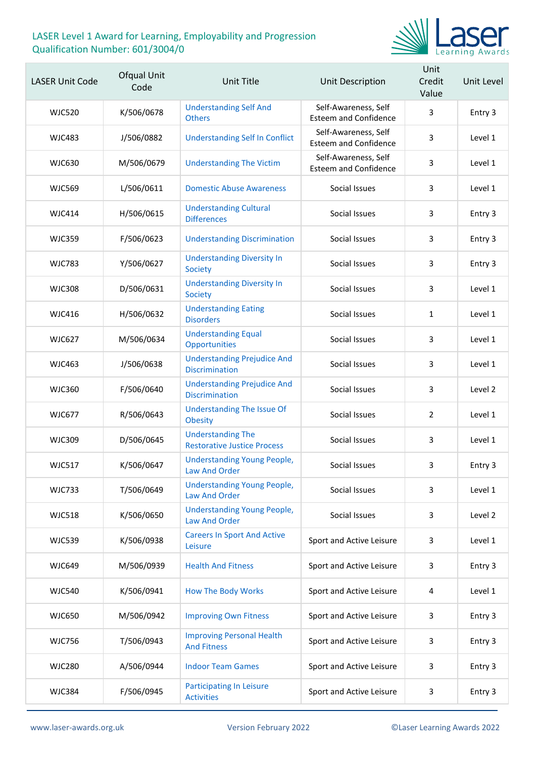

| <b>LASER Unit Code</b> | Ofqual Unit<br>Code | <b>Unit Title</b>                                              | Unit Description                                     | Unit<br>Credit<br>Value | Unit Level |
|------------------------|---------------------|----------------------------------------------------------------|------------------------------------------------------|-------------------------|------------|
| <b>WJC520</b>          | K/506/0678          | <b>Understanding Self And</b><br><b>Others</b>                 | Self-Awareness, Self<br><b>Esteem and Confidence</b> | 3                       | Entry 3    |
| <b>WJC483</b>          | J/506/0882          | <b>Understanding Self In Conflict</b>                          | Self-Awareness, Self<br><b>Esteem and Confidence</b> | 3                       | Level 1    |
| <b>WJC630</b>          | M/506/0679          | <b>Understanding The Victim</b>                                | Self-Awareness, Self<br><b>Esteem and Confidence</b> | 3                       | Level 1    |
| <b>WJC569</b>          | L/506/0611          | <b>Domestic Abuse Awareness</b>                                | Social Issues                                        | 3                       | Level 1    |
| <b>WJC414</b>          | H/506/0615          | <b>Understanding Cultural</b><br><b>Differences</b>            | Social Issues                                        | 3                       | Entry 3    |
| <b>WJC359</b>          | F/506/0623          | <b>Understanding Discrimination</b>                            | Social Issues                                        | 3                       | Entry 3    |
| <b>WJC783</b>          | Y/506/0627          | <b>Understanding Diversity In</b><br><b>Society</b>            | Social Issues                                        | 3                       | Entry 3    |
| <b>WJC308</b>          | D/506/0631          | <b>Understanding Diversity In</b><br><b>Society</b>            | Social Issues                                        | 3                       | Level 1    |
| <b>WJC416</b>          | H/506/0632          | <b>Understanding Eating</b><br><b>Disorders</b>                | Social Issues                                        | $\mathbf{1}$            | Level 1    |
| <b>WJC627</b>          | M/506/0634          | <b>Understanding Equal</b><br>Opportunities                    | Social Issues                                        | 3                       | Level 1    |
| <b>WJC463</b>          | J/506/0638          | <b>Understanding Prejudice And</b><br><b>Discrimination</b>    | Social Issues                                        | 3                       | Level 1    |
| WJC360                 | F/506/0640          | <b>Understanding Prejudice And</b><br><b>Discrimination</b>    | Social Issues                                        | 3                       | Level 2    |
| <b>WJC677</b>          | R/506/0643          | <b>Understanding The Issue Of</b><br><b>Obesity</b>            | Social Issues                                        | $\overline{2}$          | Level 1    |
| <b>WJC309</b>          | D/506/0645          | <b>Understanding The</b><br><b>Restorative Justice Process</b> | Social Issues                                        | 3                       | Level 1    |
| <b>WJC517</b>          | K/506/0647          | <b>Understanding Young People,</b><br><b>Law And Order</b>     | Social Issues                                        | 3                       | Entry 3    |
| <b>WJC733</b>          | T/506/0649          | <b>Understanding Young People,</b><br><b>Law And Order</b>     | Social Issues                                        | 3                       | Level 1    |
| <b>WJC518</b>          | K/506/0650          | <b>Understanding Young People,</b><br><b>Law And Order</b>     | Social Issues                                        | 3                       | Level 2    |
| <b>WJC539</b>          | K/506/0938          | <b>Careers In Sport And Active</b><br>Leisure                  | Sport and Active Leisure                             | 3                       | Level 1    |
| <b>WJC649</b>          | M/506/0939          | <b>Health And Fitness</b>                                      | Sport and Active Leisure                             | 3                       | Entry 3    |
| <b>WJC540</b>          | K/506/0941          | <b>How The Body Works</b>                                      | Sport and Active Leisure                             | 4                       | Level 1    |
| <b>WJC650</b>          | M/506/0942          | <b>Improving Own Fitness</b>                                   | Sport and Active Leisure                             | 3                       | Entry 3    |
| <b>WJC756</b>          | T/506/0943          | <b>Improving Personal Health</b><br><b>And Fitness</b>         | Sport and Active Leisure                             | 3                       | Entry 3    |
| <b>WJC280</b>          | A/506/0944          | <b>Indoor Team Games</b>                                       | Sport and Active Leisure                             | 3                       | Entry 3    |
| <b>WJC384</b>          | F/506/0945          | <b>Participating In Leisure</b><br><b>Activities</b>           | Sport and Active Leisure                             | 3                       | Entry 3    |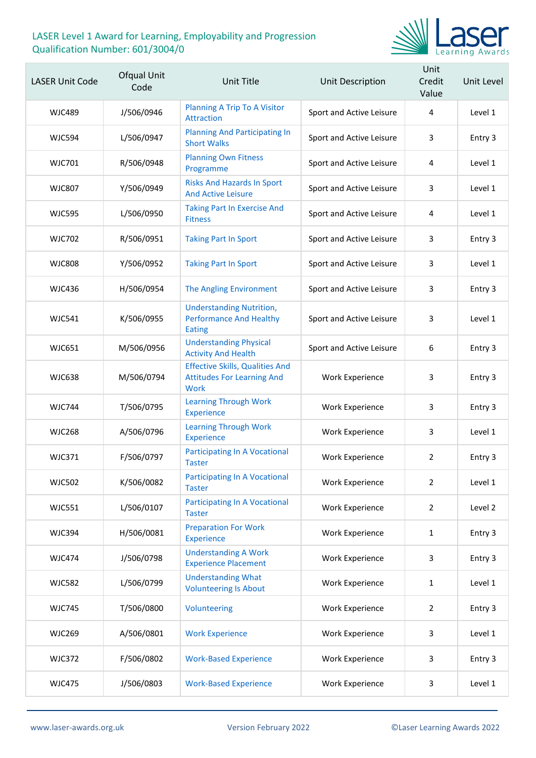

| <b>LASER Unit Code</b> | Ofqual Unit<br>Code | <b>Unit Title</b>                                                                          | Unit Description         | Unit<br>Credit<br>Value | Unit Level |
|------------------------|---------------------|--------------------------------------------------------------------------------------------|--------------------------|-------------------------|------------|
| <b>WJC489</b>          | J/506/0946          | Planning A Trip To A Visitor<br><b>Attraction</b>                                          | Sport and Active Leisure | 4                       | Level 1    |
| <b>WJC594</b>          | L/506/0947          | <b>Planning And Participating In</b><br><b>Short Walks</b>                                 | Sport and Active Leisure | 3                       | Entry 3    |
| <b>WJC701</b>          | R/506/0948          | <b>Planning Own Fitness</b><br>Programme                                                   | Sport and Active Leisure | 4                       | Level 1    |
| <b>WJC807</b>          | Y/506/0949          | <b>Risks And Hazards In Sport</b><br><b>And Active Leisure</b>                             | Sport and Active Leisure | 3                       | Level 1    |
| <b>WJC595</b>          | L/506/0950          | <b>Taking Part In Exercise And</b><br><b>Fitness</b>                                       | Sport and Active Leisure | 4                       | Level 1    |
| <b>WJC702</b>          | R/506/0951          | <b>Taking Part In Sport</b>                                                                | Sport and Active Leisure | 3                       | Entry 3    |
| <b>WJC808</b>          | Y/506/0952          | <b>Taking Part In Sport</b>                                                                | Sport and Active Leisure | 3                       | Level 1    |
| <b>WJC436</b>          | H/506/0954          | <b>The Angling Environment</b>                                                             | Sport and Active Leisure | 3                       | Entry 3    |
| <b>WJC541</b>          | K/506/0955          | <b>Understanding Nutrition,</b><br><b>Performance And Healthy</b><br><b>Eating</b>         | Sport and Active Leisure | 3                       | Level 1    |
| <b>WJC651</b>          | M/506/0956          | <b>Understanding Physical</b><br><b>Activity And Health</b>                                | Sport and Active Leisure | 6                       | Entry 3    |
| <b>WJC638</b>          | M/506/0794          | <b>Effective Skills, Qualities And</b><br><b>Attitudes For Learning And</b><br><b>Work</b> | <b>Work Experience</b>   | 3                       | Entry 3    |
| <b>WJC744</b>          | T/506/0795          | <b>Learning Through Work</b><br><b>Experience</b>                                          | <b>Work Experience</b>   | 3                       | Entry 3    |
| <b>WJC268</b>          | A/506/0796          | <b>Learning Through Work</b><br><b>Experience</b>                                          | <b>Work Experience</b>   | 3                       | Level 1    |
| <b>WJC371</b>          | F/506/0797          | <b>Participating In A Vocational</b><br><b>Taster</b>                                      | <b>Work Experience</b>   | $\overline{2}$          | Entry 3    |
| <b>WJC502</b>          | K/506/0082          | <b>Participating In A Vocational</b><br><b>Taster</b>                                      | <b>Work Experience</b>   | $\overline{2}$          | Level 1    |
| <b>WJC551</b>          | L/506/0107          | <b>Participating In A Vocational</b><br><b>Taster</b>                                      | <b>Work Experience</b>   | $\overline{2}$          | Level 2    |
| <b>WJC394</b>          | H/506/0081          | <b>Preparation For Work</b><br><b>Experience</b>                                           | <b>Work Experience</b>   | $\mathbf{1}$            | Entry 3    |
| <b>WJC474</b>          | J/506/0798          | <b>Understanding A Work</b><br><b>Experience Placement</b>                                 | <b>Work Experience</b>   | 3                       | Entry 3    |
| <b>WJC582</b>          | L/506/0799          | <b>Understanding What</b><br><b>Volunteering Is About</b>                                  | <b>Work Experience</b>   | $\mathbf{1}$            | Level 1    |
| <b>WJC745</b>          | T/506/0800          | Volunteering                                                                               | <b>Work Experience</b>   | $\overline{2}$          | Entry 3    |
| <b>WJC269</b>          | A/506/0801          | <b>Work Experience</b>                                                                     | <b>Work Experience</b>   | 3                       | Level 1    |
| <b>WJC372</b>          | F/506/0802          | <b>Work-Based Experience</b>                                                               | <b>Work Experience</b>   | 3                       | Entry 3    |
| <b>WJC475</b>          | J/506/0803          | <b>Work-Based Experience</b>                                                               | <b>Work Experience</b>   | 3                       | Level 1    |